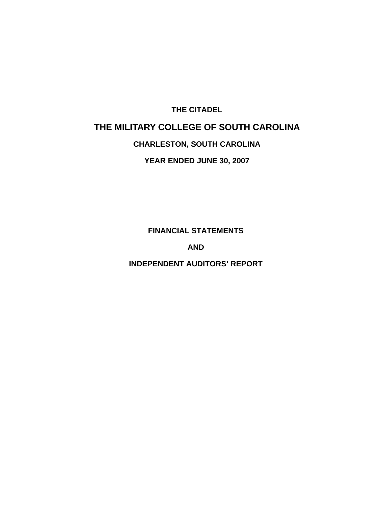# **THE CITADEL THE MILITARY COLLEGE OF SOUTH CAROLINA**

# **CHARLESTON, SOUTH CAROLINA**

**YEAR ENDED JUNE 30, 2007** 

**FINANCIAL STATEMENTS** 

**AND** 

**INDEPENDENT AUDITORS' REPORT**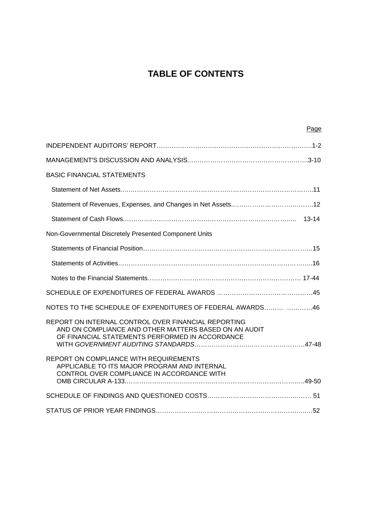# **TABLE OF CONTENTS**

| Page                                                                                                                                                            |
|-----------------------------------------------------------------------------------------------------------------------------------------------------------------|
|                                                                                                                                                                 |
|                                                                                                                                                                 |
| <b>BASIC FINANCIAL STATEMENTS</b>                                                                                                                               |
|                                                                                                                                                                 |
|                                                                                                                                                                 |
|                                                                                                                                                                 |
| Non-Governmental Discretely Presented Component Units                                                                                                           |
|                                                                                                                                                                 |
|                                                                                                                                                                 |
|                                                                                                                                                                 |
|                                                                                                                                                                 |
| NOTES TO THE SCHEDULE OF EXPENDITURES OF FEDERAL AWARDS 46                                                                                                      |
| REPORT ON INTERNAL CONTROL OVER FINANCIAL REPORTING<br>AND ON COMPLIANCE AND OTHER MATTERS BASED ON AN AUDIT<br>OF FINANCIAL STATEMENTS PERFORMED IN ACCORDANCE |
| REPORT ON COMPLIANCE WITH REQUIREMENTS<br>APPLICABLE TO ITS MAJOR PROGRAM AND INTERNAL<br>CONTROL OVER COMPLIANCE IN ACCORDANCE WITH                            |
|                                                                                                                                                                 |
|                                                                                                                                                                 |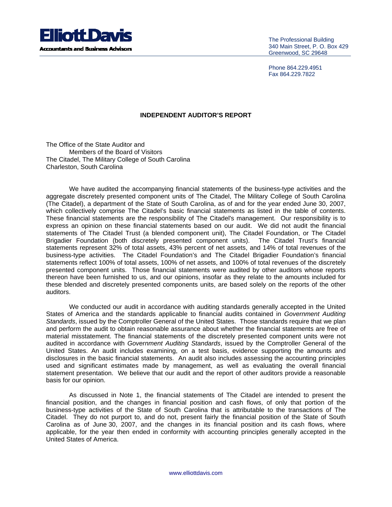

The Professional Building 340 Main Street, P. O. Box 429 Greenwood, SC 29648

Phone 864.229.4951 Fax 864.229.7822

#### **INDEPENDENT AUDITOR'S REPORT**

The Office of the State Auditor and Members of the Board of Visitors The Citadel, The Military College of South Carolina Charleston, South Carolina

We have audited the accompanying financial statements of the business-type activities and the aggregate discretely presented component units of The Citadel, The Military College of South Carolina (The Citadel), a department of the State of South Carolina, as of and for the year ended June 30, 2007, which collectively comprise The Citadel's basic financial statements as listed in the table of contents. These financial statements are the responsibility of The Citadel's management. Our responsibility is to express an opinion on these financial statements based on our audit. We did not audit the financial statements of The Citadel Trust (a blended component unit), The Citadel Foundation, or The Citadel Brigadier Foundation (both discretely presented component units). The Citadel Trust's financial statements represent 32% of total assets, 43% percent of net assets, and 14% of total revenues of the business-type activities. The Citadel Foundation's and The Citadel Brigadier Foundation's financial statements reflect 100% of total assets, 100% of net assets, and 100% of total revenues of the discretely presented component units. Those financial statements were audited by other auditors whose reports thereon have been furnished to us, and our opinions, insofar as they relate to the amounts included for these blended and discretely presented components units, are based solely on the reports of the other auditors.

We conducted our audit in accordance with auditing standards generally accepted in the United States of America and the standards applicable to financial audits contained in *Government Auditing Standards*, issued by the Comptroller General of the United States. Those standards require that we plan and perform the audit to obtain reasonable assurance about whether the financial statements are free of material misstatement. The financial statements of the discretely presented component units were not audited in accordance with *Government Auditing Standards*, issued by the Comptroller General of the United States. An audit includes examining, on a test basis, evidence supporting the amounts and disclosures in the basic financial statements. An audit also includes assessing the accounting principles used and significant estimates made by management, as well as evaluating the overall financial statement presentation. We believe that our audit and the report of other auditors provide a reasonable basis for our opinion.

As discussed in Note 1, the financial statements of The Citadel are intended to present the financial position, and the changes in financial position and cash flows, of only that portion of the business-type activities of the State of South Carolina that is attributable to the transactions of The Citadel. They do not purport to, and do not, present fairly the financial position of the State of South Carolina as of June 30, 2007, and the changes in its financial position and its cash flows, where applicable, for the year then ended in conformity with accounting principles generally accepted in the United States of America.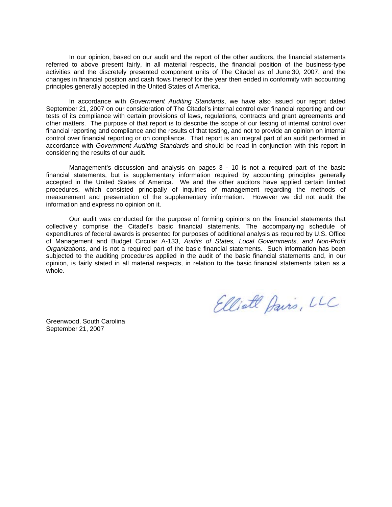In our opinion, based on our audit and the report of the other auditors, the financial statements referred to above present fairly, in all material respects, the financial position of the business-type activities and the discretely presented component units of The Citadel as of June 30, 2007, and the changes in financial position and cash flows thereof for the year then ended in conformity with accounting principles generally accepted in the United States of America.

In accordance with *Government Auditing Standards*, we have also issued our report dated September 21, 2007 on our consideration of The Citadel's internal control over financial reporting and our tests of its compliance with certain provisions of laws, regulations, contracts and grant agreements and other matters. The purpose of that report is to describe the scope of our testing of internal control over financial reporting and compliance and the results of that testing, and not to provide an opinion on internal control over financial reporting or on compliance. That report is an integral part of an audit performed in accordance with *Government Auditing Standards* and should be read in conjunction with this report in considering the results of our audit.

Management's discussion and analysis on pages 3 - 10 is not a required part of the basic financial statements, but is supplementary information required by accounting principles generally accepted in the United States of America. We and the other auditors have applied certain limited procedures, which consisted principally of inquiries of management regarding the methods of measurement and presentation of the supplementary information. However we did not audit the information and express no opinion on it.

Our audit was conducted for the purpose of forming opinions on the financial statements that collectively comprise the Citadel's basic financial statements. The accompanying schedule of expenditures of federal awards is presented for purposes of additional analysis as required by U.S. Office of Management and Budget Circular A-133, *Audits of States, Local Governments, and Non-Profit Organizations,* and is not a required part of the basic financial statements. Such information has been subjected to the auditing procedures applied in the audit of the basic financial statements and, in our opinion, is fairly stated in all material respects, in relation to the basic financial statements taken as a whole.

Greenwood, South Carolina September 21, 2007

Elliott Davis, LLC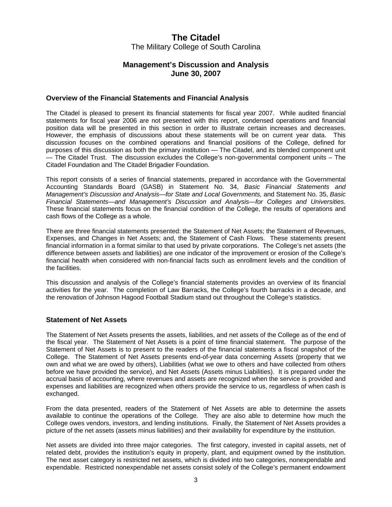### **Management's Discussion and Analysis June 30, 2007**

#### **Overview of the Financial Statements and Financial Analysis**

The Citadel is pleased to present its financial statements for fiscal year 2007. While audited financial statements for fiscal year 2006 are not presented with this report, condensed operations and financial position data will be presented in this section in order to illustrate certain increases and decreases. However, the emphasis of discussions about these statements will be on current year data. This discussion focuses on the combined operations and financial positions of the College, defined for purposes of this discussion as both the primary institution — The Citadel, and its blended component unit — The Citadel Trust. The discussion excludes the College's non-governmental component units – The Citadel Foundation and The Citadel Brigadier Foundation.

This report consists of a series of financial statements, prepared in accordance with the Governmental Accounting Standards Board (GASB) in Statement No. 34, *Basic Financial Statements and Management's Discussion and Analysis—for State and Local Governments,* and Statement No. 35, *Basic Financial Statements—and Management's Discussion and Analysis—for Colleges and Universities.*  These financial statements focus on the financial condition of the College, the results of operations and cash flows of the College as a whole.

There are three financial statements presented: the Statement of Net Assets; the Statement of Revenues, Expenses, and Changes in Net Assets; and, the Statement of Cash Flows. These statements present financial information in a format similar to that used by private corporations. The College's net assets (the difference between assets and liabilities) are one indicator of the improvement or erosion of the College's financial health when considered with non-financial facts such as enrollment levels and the condition of the facilities.

This discussion and analysis of the College's financial statements provides an overview of its financial activities for the year. The completion of Law Barracks, the College's fourth barracks in a decade, and the renovation of Johnson Hagood Football Stadium stand out throughout the College's statistics.

#### **Statement of Net Assets**

The Statement of Net Assets presents the assets, liabilities, and net assets of the College as of the end of the fiscal year. The Statement of Net Assets is a point of time financial statement. The purpose of the Statement of Net Assets is to present to the readers of the financial statements a fiscal snapshot of the College. The Statement of Net Assets presents end-of-year data concerning Assets (property that we own and what we are owed by others), Liabilities (what we owe to others and have collected from others before we have provided the service), and Net Assets (Assets minus Liabilities). It is prepared under the accrual basis of accounting, where revenues and assets are recognized when the service is provided and expenses and liabilities are recognized when others provide the service to us, regardless of when cash is exchanged.

From the data presented, readers of the Statement of Net Assets are able to determine the assets available to continue the operations of the College. They are also able to determine how much the College owes vendors, investors, and lending institutions. Finally, the Statement of Net Assets provides a picture of the net assets (assets minus liabilities) and their availability for expenditure by the institution.

Net assets are divided into three major categories. The first category, invested in capital assets, net of related debt, provides the institution's equity in property, plant, and equipment owned by the institution. The next asset category is restricted net assets, which is divided into two categories, nonexpendable and expendable. Restricted nonexpendable net assets consist solely of the College's permanent endowment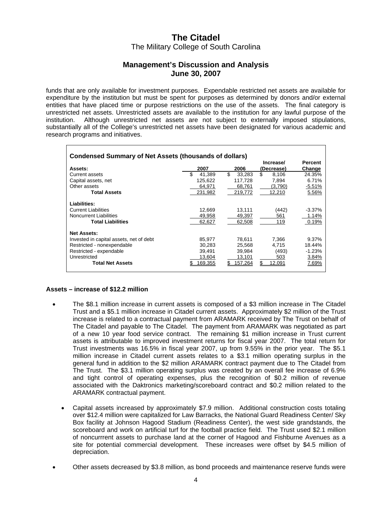### **Management's Discussion and Analysis June 30, 2007**

funds that are only available for investment purposes. Expendable restricted net assets are available for expenditure by the institution but must be spent for purposes as determined by donors and/or external entities that have placed time or purpose restrictions on the use of the assets. The final category is unrestricted net assets. Unrestricted assets are available to the institution for any lawful purpose of the institution. Although unrestricted net assets are not subject to externally imposed stipulations, substantially all of the College's unrestricted net assets have been designated for various academic and research programs and initiatives.

| <b>Condensed Summary of Net Assets (thousands of dollars)</b> |               |              |                         |                          |  |  |  |
|---------------------------------------------------------------|---------------|--------------|-------------------------|--------------------------|--|--|--|
| Assets:                                                       | 2007          | 2006         | Increase/<br>(Decrease) | <b>Percent</b><br>Change |  |  |  |
| Current assets                                                | \$.<br>41.389 | \$<br>33.283 | \$<br>8.106             | 24.35%                   |  |  |  |
| Capital assets, net                                           | 125,622       | 117,728      | 7,894                   | 6.71%                    |  |  |  |
| Other assets                                                  | 64,971        | 68,761       | (3,790)                 | $-5.51%$                 |  |  |  |
| <b>Total Assets</b>                                           | 231,982       | 219,772      | 12,210                  | 5.56%                    |  |  |  |
| Liabilities:                                                  |               |              |                         |                          |  |  |  |
| <b>Current Liabilities</b>                                    | 12.669        | 13.111       | (442)                   | $-3.37\%$                |  |  |  |
| <b>Noncurrent Liabilities</b>                                 | 49,958        | 49,397       | 561                     | 1.14%                    |  |  |  |
| <b>Total Liabilities</b>                                      | 62,627        | 62.508       | 119                     | 0.19%                    |  |  |  |
| <b>Net Assets:</b>                                            |               |              |                         |                          |  |  |  |
| Invested in capital assets, net of debt                       | 85.977        | 78,611       | 7.366                   | 9.37%                    |  |  |  |
| Restricted - nonexpendable                                    | 30,283        | 25,568       | 4.715                   | 18.44%                   |  |  |  |
| Restricted - expendable                                       | 39,491        | 39,984       | (493)                   | $-1.23%$                 |  |  |  |
| Unrestricted                                                  | 13,604        | 13,101       | 503                     | 3.84%                    |  |  |  |
| <b>Total Net Assets</b>                                       | 169.355       | 157.264      | \$<br>12.091            | 7.69%                    |  |  |  |

#### **Assets – increase of \$12.2 million**

- The \$8.1 million increase in current assets is composed of a \$3 million increase in The Citadel Trust and a \$5.1 million increase in Citadel current assets. Approximately \$2 million of the Trust increase is related to a contractual payment from ARAMARK received by The Trust on behalf of The Citadel and payable to The Citadel. The payment from ARAMARK was negotiated as part of a new 10 year food service contract. The remaining \$1 million increase in Trust current assets is attributable to improved investment returns for fiscal year 2007. The total return for Trust investments was 16.5% in fiscal year 2007, up from 9.55% in the prior year. The \$5.1 million increase in Citadel current assets relates to a \$3.1 million operating surplus in the general fund in addition to the \$2 million ARAMARK contract payment due to The Citadel from The Trust. The \$3.1 million operating surplus was created by an overall fee increase of 6.9% and tight control of operating expenses, plus the recognition of \$0.2 million of revenue associated with the Daktronics marketing/scoreboard contract and \$0.2 million related to the ARAMARK contractual payment.
	- Capital assets increased by approximately \$7.9 million. Additional construction costs totaling over \$12.4 million were capitalized for Law Barracks, the National Guard Readiness Center/ Sky Box facility at Johnson Hagood Stadium (Readiness Center), the west side grandstands, the scoreboard and work on artificial turf for the football practice field. The Trust used \$2.1 million of noncurrrent assets to purchase land at the corner of Hagood and Fishburne Avenues as a site for potential commercial development. These increases were offset by \$4.5 million of depreciation.
- Other assets decreased by \$3.8 million, as bond proceeds and maintenance reserve funds were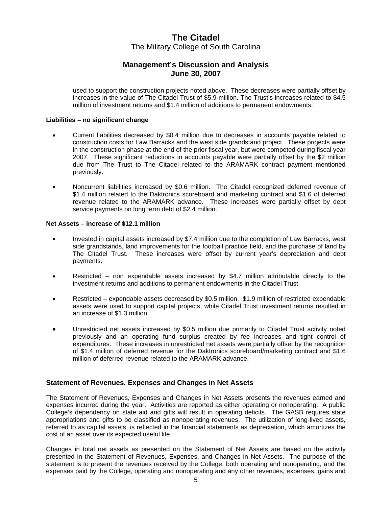### **Management's Discussion and Analysis June 30, 2007**

used to support the construction projects noted above. These decreases were partially offset by increases in the value of The Citadel Trust of \$5.9 million. The Trust's increases related to \$4.5 million of investment returns and \$1.4 million of additions to permanent endowments.

#### **Liabilities – no significant change**

- Current liabilities decreased by \$0.4 million due to decreases in accounts payable related to construction costs for Law Barracks and the west side grandstand project. These projects were in the construction phase at the end of the prior fiscal year, but were competed during fiscal year 2007. These significant reductions in accounts payable were partially offset by the \$2 million due from The Trust to The Citadel related to the ARAMARK contract payment mentioned previously.
- Noncurrent liabilities increased by \$0.6 million. The Citadel recognized deferred revenue of \$1.4 million related to the Daktronics scoreboard and marketing contract and \$1.6 of deferred revenue related to the ARAMARK advance. These increases were partially offset by debt service payments on long term debt of \$2.4 million.

#### **Net Assets – increase of \$12.1 million**

- Invested in capital assets increased by \$7.4 million due to the completion of Law Barracks, west side grandstands, land improvements for the football practice field, and the purchase of land by The Citadel Trust. These increases were offset by current year's depreciation and debt payments.
- Restricted non expendable assets increased by \$4.7 million attributable directly to the investment returns and additions to permanent endowments in the Citadel Trust.
- Restricted expendable assets decreased by  $$0.5$  million.  $$1.9$  million of restricted expendable assets were used to support capital projects, while Citadel Trust investment returns resulted in an increase of \$1.3 million.
- • Unrestricted net assets increased by \$0.5 million due primarily to Citadel Trust activity noted previously and an operating fund surplus created by fee increases and tight control of expenditures. These increases in unrestricted net assets were partially offset by the recognition of \$1.4 million of deferred revenue for the Daktronics scoreboard/marketing contract and \$1.6 million of deferred revenue related to the ARAMARK advance.

#### **Statement of Revenues, Expenses and Changes in Net Assets**

The Statement of Revenues, Expenses and Changes in Net Assets presents the revenues earned and expenses incurred during the year. Activities are reported as either operating or nonoperating. A public College's dependency on state aid and gifts will result in operating deficits. The GASB requires state appropriations and gifts to be classified as nonoperating revenues. The utilization of long-lived assets, referred to as capital assets, is reflected in the financial statements as depreciation, which amortizes the cost of an asset over its expected useful life.

Changes in total net assets as presented on the Statement of Net Assets are based on the activity presented in the Statement of Revenues, Expenses, and Changes in Net Assets. The purpose of the statement is to present the revenues received by the College, both operating and nonoperating, and the expenses paid by the College, operating and nonoperating and any other revenues, expenses, gains and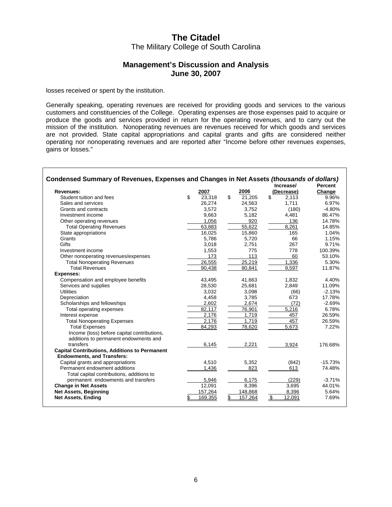### **Management's Discussion and Analysis June 30, 2007**

losses received or spent by the institution.

Generally speaking, operating revenues are received for providing goods and services to the various customers and constituencies of the College. Operating expenses are those expenses paid to acquire or produce the goods and services provided in return for the operating revenues, and to carry out the mission of the institution. Nonoperating revenues are revenues received for which goods and services are not provided. State capital appropriations and capital grants and gifts are considered neither operating nor nonoperating revenues and are reported after "Income before other revenues expenses, gains or losses."

| Condensed Summary of Revenues, Expenses and Changes in Net Assets (thousands of dollars)  |    |         |    |         |    |            |           |
|-------------------------------------------------------------------------------------------|----|---------|----|---------|----|------------|-----------|
|                                                                                           |    |         |    |         |    | Increase/  | Percent   |
| <b>Revenues:</b>                                                                          |    | 2007    |    | 2006    |    | (Decrease) | Change    |
| Student tuition and fees                                                                  | \$ | 23.318  | \$ | 21.205  | \$ | 2,113      | 9.96%     |
| Sales and services                                                                        |    | 26,274  |    | 24,563  |    | 1,711      | 6.97%     |
| Grants and contracts                                                                      |    | 3,572   |    | 3,752   |    | (180)      | $-4.80%$  |
| Investment income                                                                         |    | 9,663   |    | 5,182   |    | 4,481      | 86.47%    |
| Other operating revenues                                                                  |    | 1.056   |    | 920     |    | 136        | 14.78%    |
| <b>Total Operating Revenues</b>                                                           |    | 63,883  |    | 55,622  |    | 8,261      | 14.85%    |
| State appropriations                                                                      |    | 16,025  |    | 15,860  |    | 165        | 1.04%     |
| Grants                                                                                    |    | 5.786   |    | 5.720   |    | 66         | 1.15%     |
| <b>Gifts</b>                                                                              |    | 3,018   |    | 2,751   |    | 267        | 9.71%     |
| Investment income                                                                         |    | 1,553   |    | 775     |    | 778        | 100.39%   |
| Other nonoperating revenues/expenses                                                      |    | 173     |    | 113     |    | 60         | 53.10%    |
| <b>Total Nonoperating Revenues</b>                                                        |    | 26,555  |    | 25,219  |    | 1,336      | 5.30%     |
| <b>Total Revenues</b>                                                                     |    | 90,438  |    | 80.841  |    | 9,597      | 11.87%    |
| Expenses:                                                                                 |    |         |    |         |    |            |           |
| Compensation and employee benefits                                                        |    | 43,495  |    | 41,663  |    | 1,832      | 4.40%     |
| Services and supplies                                                                     |    | 28,530  |    | 25,681  |    | 2.849      | 11.09%    |
| <b>Utilities</b>                                                                          |    | 3,032   |    | 3,098   |    | (66)       | $-2.13%$  |
| Depreciation                                                                              |    | 4,458   |    | 3,785   |    | 673        | 17.78%    |
| Scholarships and fellowships                                                              |    | 2,602   |    | 2,674   |    | (72)       | $-2.69%$  |
| Total operating expenses                                                                  |    | 82,117  |    | 76,901  |    | 5,216      | 6.78%     |
| Interest expense                                                                          |    | 2,176   |    | 1,719   |    | 457        | 26.59%    |
| <b>Total Nonoperating Expenses</b>                                                        |    | 2,176   |    | 1,719   |    | 457        | 26.59%    |
| <b>Total Expenses</b>                                                                     |    | 84.293  |    | 78.620  |    | 5.673      | 7.22%     |
| Income (loss) before capital contributions,                                               |    |         |    |         |    |            |           |
| additions to permanent endowments and                                                     |    |         |    |         |    |            |           |
| transfers                                                                                 |    | 6,145   |    | 2,221   |    | 3,924      | 176.68%   |
| <b>Capital Contributions, Additions to Permanent</b><br><b>Endowments, and Transfers:</b> |    |         |    |         |    |            |           |
| Capital grants and appropriations                                                         |    | 4,510   |    | 5,352   |    | (842)      | $-15.73%$ |
| Permanent endowment additions                                                             |    | 1,436   |    | 823     |    | 613        | 74.48%    |
| Total capital contributions, additions to                                                 |    |         |    |         |    |            |           |
| permanent endowments and transfers                                                        |    | 5,946   |    | 6,175   |    | (229)      | $-3.71%$  |
| <b>Change in Net Assets</b>                                                               |    | 12,091  |    | 8,396   |    | 3,695      | 44.01%    |
| <b>Net Assets, Beginning</b>                                                              |    | 157,264 |    | 148,868 |    | 8,396      | 5.64%     |
| <b>Net Assets, Ending</b>                                                                 | \$ | 169,355 | \$ | 157,264 | \$ | 12,091     | 7.69%     |
|                                                                                           |    |         |    |         |    |            |           |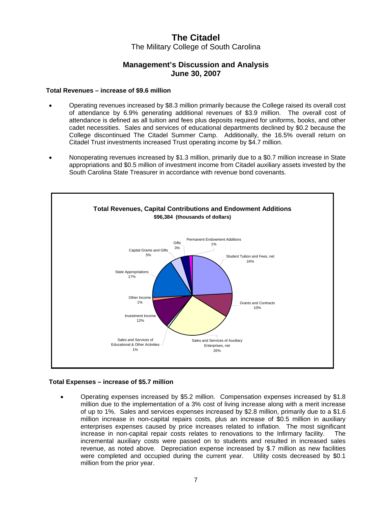### **Management's Discussion and Analysis June 30, 2007**

#### **Total Revenues – increase of \$9.6 million**

- Operating revenues increased by \$8.3 million primarily because the College raised its overall cost of attendance by 6.9% generating additional revenues of \$3.9 million. The overall cost of attendance is defined as all tuition and fees plus deposits required for uniforms, books, and other cadet necessities. Sales and services of educational departments declined by \$0.2 because the College discontinued The Citadel Summer Camp. Additionally, the 16.5% overall return on Citadel Trust investments increased Trust operating income by \$4.7 million.
- • Nonoperating revenues increased by \$1.3 million, primarily due to a \$0.7 million increase in State appropriations and \$0.5 million of investment income from Citadel auxiliary assets invested by the South Carolina State Treasurer in accordance with revenue bond covenants.



#### **Total Expenses – increase of \$5.7 million**

Operating expenses increased by \$5.2 million. Compensation expenses increased by \$1.8 million due to the implementation of a 3% cost of living increase along with a merit increase of up to 1%. Sales and services expenses increased by \$2.8 million, primarily due to a \$1.6 million increase in non-capital repairs costs, plus an increase of \$0.5 million in auxiliary enterprises expenses caused by price increases related to inflation. The most significant increase in non-capital repair costs relates to renovations to the Infirmary facility. The incremental auxiliary costs were passed on to students and resulted in increased sales revenue, as noted above. Depreciation expense increased by \$.7 million as new facilities were completed and occupied during the current year. Utility costs decreased by \$0.1 million from the prior year.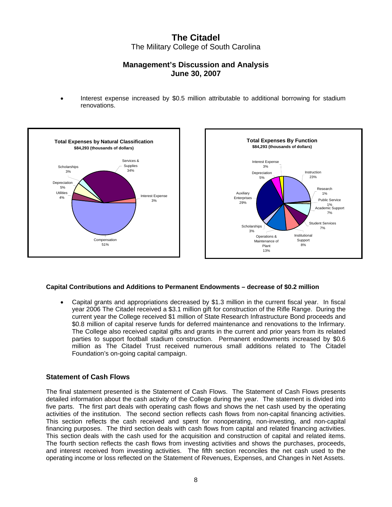### **Management's Discussion and Analysis June 30, 2007**

Interest expense increased by \$0.5 million attributable to additional borrowing for stadium renovations.



#### **Capital Contributions and Additions to Permanent Endowments – decrease of \$0.2 million**

Capital grants and appropriations decreased by \$1.3 million in the current fiscal year. In fiscal year 2006 The Citadel received a \$3.1 million gift for construction of the Rifle Range. During the current year the College received \$1 million of State Research Infrastructure Bond proceeds and \$0.8 million of capital reserve funds for deferred maintenance and renovations to the Infirmary. The College also received capital gifts and grants in the current and prior years from its related parties to support football stadium construction. Permanent endowments increased by \$0.6 million as The Citadel Trust received numerous small additions related to The Citadel Foundation's on-going capital campaign.

#### **Statement of Cash Flows**

The final statement presented is the Statement of Cash Flows. The Statement of Cash Flows presents detailed information about the cash activity of the College during the year. The statement is divided into five parts. The first part deals with operating cash flows and shows the net cash used by the operating activities of the institution. The second section reflects cash flows from non-capital financing activities. This section reflects the cash received and spent for nonoperating, non-investing, and non-capital financing purposes. The third section deals with cash flows from capital and related financing activities. This section deals with the cash used for the acquisition and construction of capital and related items. The fourth section reflects the cash flows from investing activities and shows the purchases, proceeds, and interest received from investing activities. The fifth section reconciles the net cash used to the operating income or loss reflected on the Statement of Revenues, Expenses, and Changes in Net Assets.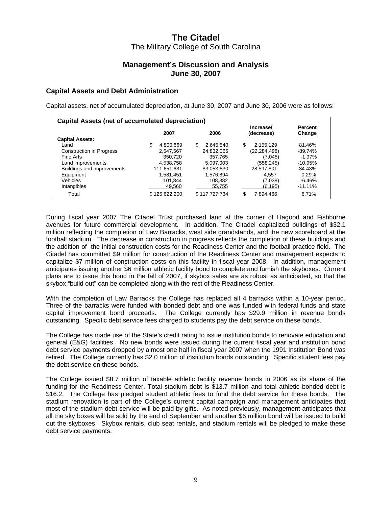### **Management's Discussion and Analysis June 30, 2007**

#### **Capital Assets and Debt Administration**

Capital assets, net of accumulated depreciation, at June 30, 2007 and June 30, 2006 were as follows:

| Capital Assets (net of accumulated depreciation) |                 |                |                         |                          |  |  |  |  |
|--------------------------------------------------|-----------------|----------------|-------------------------|--------------------------|--|--|--|--|
| <b>Capital Assets:</b>                           | 2007            | 2006           | Increase/<br>(decrease) | <b>Percent</b><br>Change |  |  |  |  |
| Land                                             | \$<br>4.800.669 | S<br>2.645.540 | \$<br>2,155,129         | 81.46%                   |  |  |  |  |
| <b>Construction in Progress</b>                  | 2.547.567       | 24,832,065     | (22, 284, 498)          | $-89.74%$                |  |  |  |  |
| Fine Arts                                        | 350,720         | 357.765        | (7,045)                 | $-1.97\%$                |  |  |  |  |
| Land improvements                                | 4,538,758       | 5,097,003      | (558,245)               | $-10.95\%$               |  |  |  |  |
| Buildings and improvements                       | 111,651,631     | 83,053,830     | 28.597.801              | 34.43%                   |  |  |  |  |
| Equipment                                        | 1,581,451       | 1.576.894      | 4.557                   | 0.29%                    |  |  |  |  |
| Vehicles                                         | 101,844         | 108,882        | (7,038)                 | $-6.46%$                 |  |  |  |  |
| Intangibles                                      | 49,560          | 55,755         | (6, 195)                | $-11.11\%$               |  |  |  |  |
| Total                                            | 125.622.200     | 17,727,734     | 7,894,466               | 6.71%                    |  |  |  |  |

During fiscal year 2007 The Citadel Trust purchased land at the corner of Hagood and Fishburne avenues for future commercial development. In addition, The Citadel capitalized buildings of \$32.1 million reflecting the completion of Law Barracks, west side grandstands, and the new scoreboard at the football stadium. The decrease in construction in progress reflects the completion of these buildings and the addition of the initial construction costs for the Readiness Center and the football practice field. The Citadel has committed \$9 million for construction of the Readiness Center and management expects to capitalize \$7 million of construction costs on this facility in fiscal year 2008. In addition, management anticipates issuing another \$6 million athletic facility bond to complete and furnish the skyboxes. Current plans are to issue this bond in the fall of 2007, if skybox sales are as robust as anticipated, so that the skybox "build out" can be completed along with the rest of the Readiness Center.

With the completion of Law Barracks the College has replaced all 4 barracks within a 10-year period. Three of the barracks were funded with bonded debt and one was funded with federal funds and state capital improvement bond proceeds. The College currently has \$29.9 million in revenue bonds outstanding. Specific debt service fees charged to students pay the debt service on these bonds.

The College has made use of the State's credit rating to issue institution bonds to renovate education and general (E&G) facilities. No new bonds were issued during the current fiscal year and institution bond debt service payments dropped by almost one half in fiscal year 2007 when the 1991 Institution Bond was retired. The College currently has \$2.0 million of institution bonds outstanding. Specific student fees pay the debt service on these bonds.

The College issued \$8.7 million of taxable athletic facility revenue bonds in 2006 as its share of the funding for the Readiness Center. Total stadium debt is \$13.7 million and total athletic bonded debt is \$16.2. The College has pledged student athletic fees to fund the debt service for these bonds. The stadium renovation is part of the College's current capital campaign and management anticipates that most of the stadium debt service will be paid by gifts. As noted previously, management anticipates that all the sky boxes will be sold by the end of September and another \$6 million bond will be issued to build out the skyboxes. Skybox rentals, club seat rentals, and stadium rentals will be pledged to make these debt service payments.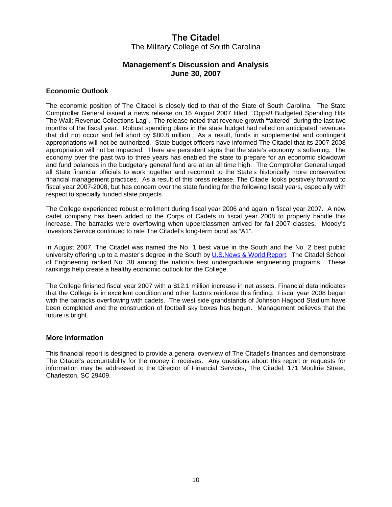### **Management's Discussion and Analysis June 30, 2007**

#### **Economic Outlook**

The economic position of The Citadel is closely tied to that of the State of South Carolina. The State Comptroller General issued a news release on 16 August 2007 titled, "Opps!! Budgeted Spending Hits The Wall: Revenue Collections Lag". The release noted that revenue growth "faltered" during the last two months of the fiscal year. Robust spending plans in the state budget had relied on anticipated revenues that did not occur and fell short by \$80.8 million. As a result, funds in supplemental and contingent appropriations will not be authorized. State budget officers have informed The Citadel that its 2007-2008 appropriation will not be impacted. There are persistent signs that the state's economy is softening. The economy over the past two to three years has enabled the state to prepare for an economic slowdown and fund balances in the budgetary general fund are at an all time high. The Comptroller General urged all State financial officials to work together and recommit to the State's historically more conservative financial management practices. As a result of this press release, The Citadel looks positively forward to fiscal year 2007-2008, but has concern over the state funding for the following fiscal years, especially with respect to specially funded state projects.

The College experienced robust enrollment during fiscal year 2006 and again in fiscal year 2007. A new cadet company has been added to the Corps of Cadets in fiscal year 2008 to properly handle this increase. The barracks were overflowing when upperclassmen arrived for fall 2007 classes. Moody's Investors Service continued to rate The Citadel's long-term bond as "A1".

In August 2007, The Citadel was named the No. 1 best value in the South and the No. 2 best public university offering up to a master's degree in the South by U.S.News & World Report. The Citadel School of Engineering ranked No. 38 among the nation's best undergraduate engineering programs. These rankings help create a healthy economic outlook for the College.

The College finished fiscal year 2007 with a \$12.1 million increase in net assets. Financial data indicates that the College is in excellent condition and other factors reinforce this finding. Fiscal year 2008 began with the barracks overflowing with cadets. The west side grandstands of Johnson Hagood Stadium have been completed and the construction of football sky boxes has begun. Management believes that the future is bright.

#### **More Information**

This financial report is designed to provide a general overview of The Citadel's finances and demonstrate The Citadel's accountability for the money it receives. Any questions about this report or requests for information may be addressed to the Director of Financial Services, The Citadel, 171 Moultrie Street, Charleston, SC 29409.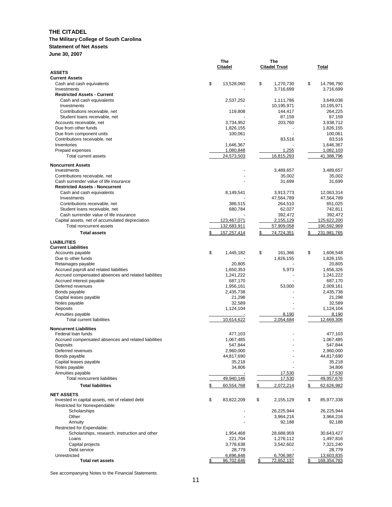#### **The Military College of South Carolina**

**Statement of Net Assets** 

**June 30, 2007** 

|                                                      | The              | The                  |                  |
|------------------------------------------------------|------------------|----------------------|------------------|
|                                                      | Citadel          | <b>Citadel Trust</b> | Total            |
| <b>ASSETS</b>                                        |                  |                      |                  |
| <b>Current Assets</b>                                |                  |                      |                  |
| Cash and cash equivalents                            | \$<br>13,528,060 | \$<br>1.270.730      | \$<br>14,798,790 |
| Investments                                          |                  | 3,716,699            | 3,716,699        |
| <b>Restricted Assets - Current</b>                   |                  |                      |                  |
| Cash and cash equivalents                            | 2,537,252        | 1,111,786            | 3,649,038        |
| Investments                                          |                  | 10,195,971           | 10,195,971       |
| Contributions receivable, net                        | 119,808          | 144,417              | 264,225          |
| Student loans receivable, net                        |                  | 87,159               | 87,159           |
| Accounts receivable, net                             | 3,734,952        | 203,760              | 3,938,712        |
| Due from other funds                                 | 1,826,155        |                      | 1,826,155        |
| Due from component units                             | 100,061          |                      | 100,061          |
| Contributions receivable, net                        |                  | 83,516               | 83,516           |
| Inventories                                          | 1,646,367        |                      | 1,646,367        |
| Prepaid expenses                                     | 1,080,848        | 1,255                | 1,082,103        |
| Total current assets                                 | 24,573,503       | 16,815,293           | 41,388,796       |
| <b>Noncurrent Assets</b>                             |                  |                      |                  |
| Investments                                          |                  | 3,489,657            | 3,489,657        |
| Contributions receivable, net                        |                  | 35,002               | 35,002           |
| Cash surrender value of life insurance               |                  | 31,699               | 31,699           |
| <b>Restricted Assets - Noncurrent</b>                |                  |                      |                  |
| Cash and cash equivalents                            | 8,149,541        | 3,913,773            | 12,063,314       |
| Investments                                          |                  | 47,564,789           | 47,564,789       |
| Contributions receivable, net                        | 386,515          | 264,510              | 651,025          |
| Student loans receivable, net                        | 680,784          | 62,027               | 742,811          |
| Cash surrender value of life insurance               |                  | 392,472              | 392,472          |
| Capital assets, net of accumulated depreciation      | 123,467,071      | 2,155,129            | 125,622,200      |
| Total noncurrent assets                              | 132,683,911      | 57,909,058           | 190,592,969      |
|                                                      |                  |                      |                  |
| <b>Total assets</b>                                  | 157,257,414      | 74,724,351<br>\$     | 231.981.765      |
| <b>LIABILITIES</b>                                   |                  |                      |                  |
| <b>Current Liabilities</b>                           |                  |                      |                  |
| Accounts payable                                     | \$<br>1,445,182  | \$<br>161,366        | \$<br>1,606,548  |
| Due to other funds                                   |                  | 1,826,155            | 1,826,155        |
| Retainages payable                                   | 20,805           |                      | 20,805           |
| Accrued payroll and related liabilities              | 1,650,353        | 5,973                | 1,656,326        |
| Accrued compensated absences and related liabilities | 1,241,222        |                      | 1,241,222        |
| Accrued interest payable                             | 687,170          |                      | 687,170          |
| Deferred revenues                                    | 1,956,161        | 53,000               | 2,009,161        |
| Bonds payable                                        | 2,435,738        |                      | 2,435,738        |
| Capital leases payable                               | 21,298           |                      | 21,298           |
| Notes payable                                        | 32,589           |                      | 32,589           |
| Deposits                                             | 1,124,104        |                      | 1,124,104        |
| Annuities payable                                    |                  | 8,190                | 8,190            |
| <b>Total current liabilities</b>                     | 10,614,622       | 2,054,684            | 12.669.306       |
|                                                      |                  |                      |                  |
| <b>Noncurrent Liabilities</b>                        |                  |                      |                  |
| Federal loan funds                                   | 477,103          |                      | 477,103          |
| Accrued compensated absences and related liabilities | 1,067,485        |                      | 1,067,485        |
| Deposits                                             | 547,844          |                      | 547,844          |
| Deferred revenues                                    | 2,960,000        |                      | 2,960,000        |
| Bonds payable                                        | 44,817,690       |                      | 44,817,690       |
| Capital leases payable                               | 35,218           |                      | 35,218           |
| Notes payable                                        | 34,806           |                      | 34,806           |
| Annuities payable                                    |                  | 17,530               | 17,530           |
| Total noncurrent liabilities                         | 49,940,146       | 17,530               | 49,957,676       |
| <b>Total liabilities</b>                             | 60,554,768<br>S  | \$<br>2,072,214      | 62,626,982<br>\$ |
|                                                      |                  |                      |                  |
| <b>NET ASSETS</b>                                    |                  |                      |                  |
| Invested in capital assets, net of related debt      | \$<br>83,822,209 | \$<br>2,155,129      | \$<br>85,977,338 |
| Restricted for Nonexpendable:                        |                  |                      |                  |
| Scholarships                                         |                  | 26,225,944           | 26,225,944       |
| Other                                                |                  | 3,964,216            | 3,964,216        |
| Annuity                                              |                  | 92,188               | 92,188           |
| Restricted for Expendable:                           |                  |                      |                  |
| Scholarships, research, instruction and other        | 1,954,468        | 28,688,959           | 30,643,427       |
| Loans                                                | 221,704          | 1,276,112            | 1,497,816        |
| Capital projects                                     | 3,778,638        | 3,542,602            | 7,321,240        |
| Debt service                                         | 28,779           |                      | 28,779           |
| Unrestricted                                         | 6,896,848        | 6,706,987            | 13,603,835       |
| <b>Total net assets</b>                              | 96,702,646       | 72,652,137<br>S      | 169,354,783      |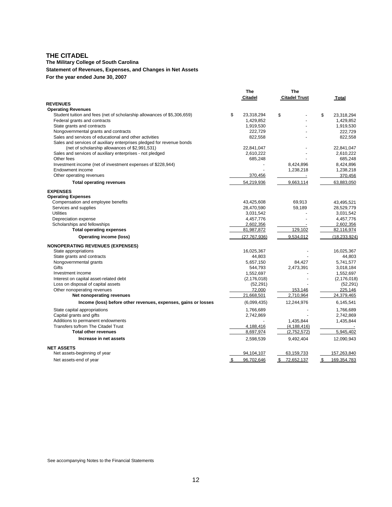#### **The Military College of South Carolina**

#### **Statement of Revenues, Expenses, and Changes in Net Assets**

**For the year ended June 30, 2007** 

|                                                                                                                         | The              |    | The                  |     |               |
|-------------------------------------------------------------------------------------------------------------------------|------------------|----|----------------------|-----|---------------|
|                                                                                                                         | <b>Citadel</b>   |    | <b>Citadel Trust</b> |     | <b>Total</b>  |
| <b>REVENUES</b>                                                                                                         |                  |    |                      |     |               |
| <b>Operating Revenues</b>                                                                                               |                  |    |                      |     |               |
| Student tuition and fees (net of scholarship allowances of \$5,306,659)                                                 | \$<br>23,318,294 | \$ |                      | \$  | 23,318,294    |
| Federal grants and contracts                                                                                            | 1,429,852        |    |                      |     | 1,429,852     |
| State grants and contracts                                                                                              | 1,919,530        |    |                      |     | 1,919,530     |
| Nongovernmental grants and contracts                                                                                    | 222,729          |    |                      |     | 222,729       |
| Sales and services of educational and other activities                                                                  | 822,558          |    |                      |     | 822,558       |
| Sales and services of auxiliary enterprises pledged for revenue bonds<br>(net of scholarship allowances of \$2,991,531) | 22,841,047       |    |                      |     | 22,841,047    |
| Sales and services of auxiliary enterprises - not pledged                                                               | 2,610,222        |    |                      |     | 2,610,222     |
| Other fees                                                                                                              | 685,248          |    |                      |     | 685,248       |
| Investment income (net of investment expenses of \$228,944)                                                             |                  |    | 8,424,896            |     | 8,424,896     |
| Endowment income                                                                                                        |                  |    | 1,238,218            |     | 1,238,218     |
| Other operating revenues                                                                                                | 370,456          |    |                      |     | 370,456       |
| <b>Total operating revenues</b>                                                                                         | 54,219,936       |    | 9,663,114            |     | 63,883,050    |
| <b>EXPENSES</b>                                                                                                         |                  |    |                      |     |               |
| <b>Operating Expenses</b>                                                                                               |                  |    |                      |     |               |
| Compensation and employee benefits                                                                                      | 43,425,608       |    | 69,913               |     | 43,495,521    |
| Services and supplies                                                                                                   | 28,470,590       |    | 59,189               |     | 28,529,779    |
| <b>Utilities</b>                                                                                                        | 3,031,542        |    |                      |     | 3,031,542     |
| Depreciation expense                                                                                                    | 4,457,776        |    |                      |     | 4,457,776     |
| Scholarships and fellowships                                                                                            | 2,602,356        |    |                      |     | 2,602,356     |
| <b>Total operating expenses</b>                                                                                         | 81,987,872       |    | 129,102              |     | 82,116,974    |
| <b>Operating income (loss)</b>                                                                                          | (27.767.936)     |    | 9.534.012            |     | (18.233.924)  |
| <b>NONOPERATING REVENUES (EXPENSES)</b>                                                                                 |                  |    |                      |     |               |
| State appropriations                                                                                                    | 16,025,367       |    |                      |     | 16,025,367    |
| State grants and contracts                                                                                              | 44,803           |    |                      |     | 44,803        |
| Nongovernmental grants                                                                                                  | 5,657,150        |    | 84,427               |     | 5,741,577     |
| Gifts                                                                                                                   | 544,793          |    | 2,473,391            |     | 3,018,184     |
| Investment income                                                                                                       | 1,552,697        |    |                      |     | 1,552,697     |
| Interest on capital asset-related debt                                                                                  | (2, 176, 018)    |    |                      |     | (2, 176, 018) |
| Loss on disposal of capital assets                                                                                      | (52, 291)        |    |                      |     | (52, 291)     |
| Other nonoperating revenues                                                                                             | 72,000           |    | 153,146              |     | 225,146       |
| Net nonoperating revenues                                                                                               | 21,668,501       |    | 2,710,964            |     | 24,379,465    |
| Income (loss) before other revenues, expenses, gains or losses                                                          | (6,099,435)      |    | 12,244,976           |     | 6,145,541     |
| State capital appropriations                                                                                            | 1,766,689        |    |                      |     | 1,766,689     |
| Capital grants and gifts                                                                                                | 2,742,869        |    |                      |     | 2,742,869     |
| Additions to permanent endowments                                                                                       |                  |    | 1,435,844            |     | 1,435,844     |
| Transfers to/from The Citadel Trust                                                                                     | 4,188,416        |    | (4, 188, 416)        |     |               |
| <b>Total other revenues</b>                                                                                             | 8,697,974        |    | (2,752,572)          |     | 5,945,402     |
| Increase in net assets                                                                                                  | 2,598,539        |    | 9,492,404            |     | 12,090,943    |
| <b>NET ASSETS</b>                                                                                                       |                  |    |                      |     |               |
| Net assets-beginning of year                                                                                            | 94,104,107       |    | 63,159,733           |     | 157,263,840   |
| Net assets-end of year                                                                                                  | \$<br>96.702.646 |    | \$72.652.137         | \$. | 169.354.783   |
|                                                                                                                         |                  |    |                      |     |               |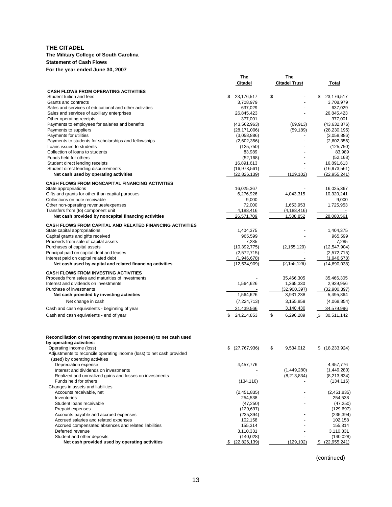### **The Military College of South Carolina**

**Statement of Cash Flows** 

**For the year ended June 30, 2007** 

|                                                                                                    | Citadel                     | <b>Citadel Trust</b>        | Total                      |
|----------------------------------------------------------------------------------------------------|-----------------------------|-----------------------------|----------------------------|
| <b>CASH FLOWS FROM OPERATING ACTIVITIES</b>                                                        |                             |                             |                            |
| Student tuition and fees                                                                           | \$<br>23,176,517            | \$                          | 23,176,517<br>S            |
| Grants and contracts                                                                               | 3,708,979                   |                             | 3,708,979                  |
| Sales and services of educational and other activities                                             | 637,029                     |                             | 637,029                    |
| Sales and services of auxiliary enterprises                                                        | 26,845,423                  |                             | 26,845,423                 |
| Other operating receipts                                                                           | 377,001                     |                             | 377,001                    |
| Payments to employees for salaries and benefits                                                    | (43, 562, 963)              | (69, 913)                   | (43, 632, 876)             |
| Payments to suppliers                                                                              | (28, 171, 006)              | (59, 189)                   | (28, 230, 195)             |
| Payments for utilities                                                                             | (3,058,886)                 |                             | (3,058,886)                |
| Payments to students for scholarships and fellowships                                              | (2,602,356)                 |                             | (2,602,356)                |
| Loans issued to students<br>Collection of loans to students                                        | (125, 750)                  |                             | (125, 750)                 |
| Funds held for others                                                                              | 83,989<br>(52, 168)         |                             | 83,989<br>(52, 168)        |
| Student direct lending receipts                                                                    | 16,891,613                  |                             | 16,891,613                 |
| Student direct lending disbursements                                                               | (16, 973, 561)              |                             | (16, 973, 561)             |
| Net cash used by operating activities                                                              | (22, 826, 139)              | (129, 102)                  | (22, 955, 241)             |
|                                                                                                    |                             |                             |                            |
| <b>CASH FLOWS FROM NONCAPITAL FINANCING ACTIVITIES</b>                                             |                             |                             |                            |
| State appropriations                                                                               | 16,025,367                  |                             | 16,025,367                 |
| Gifts and grants for other than capital purposes                                                   | 6,276,926                   | 4,043,315                   | 10,320,241                 |
| Collections on note receivable                                                                     | 9,000<br>72,000             |                             | 9,000                      |
| Other non-operating revenues/expenses<br>Transfers from (to) component unit                        | 4,188,416                   | 1,653,953<br>(4, 188, 416)  | 1,725,953                  |
| Net cash provided by noncapital financing activities                                               | 26,571,709                  | 1,508,852                   | 28,080,561                 |
|                                                                                                    |                             |                             |                            |
| <b>CASH FLOWS FROM CAPITAL AND RELATED FINANCING ACTIVITIES</b>                                    |                             |                             |                            |
| State capital appropriations                                                                       | 1,404,375                   |                             | 1,404,375                  |
| Capital grants and gifts received                                                                  | 965,599                     |                             | 965,599                    |
| Proceeds from sale of capital assets                                                               | 7,285                       |                             | 7,285                      |
| Purchases of capital assets                                                                        | (10, 392, 775)              | (2, 155, 129)               | (12, 547, 904)             |
| Principal paid on capital debt and leases                                                          | (2,572,715)                 |                             | (2,572,715)<br>(1,946,678) |
| Interest paid on capital related debt<br>Net cash used by capital and related financing activities | (1,946,678)<br>(12,534,909) | (2, 155, 129)               | (14,690,038)               |
|                                                                                                    |                             |                             |                            |
| <b>CASH FLOWS FROM INVESTING ACTIVITIES</b>                                                        |                             |                             |                            |
| Proceeds from sales and maturities of investments                                                  |                             | 35,466,305                  | 35,466,305                 |
| Interest and dividends on investments                                                              | 1,564,626                   | 1,365,330                   | 2,929,956                  |
| Purchase of investments                                                                            |                             | (32,900,397)                | (32,900,397)               |
| Net cash provided by investing activities                                                          | 1,564,626                   | 3,931,238                   | 5,495,864                  |
| Net change in cash                                                                                 | (7,224,713)                 | 3,155,859                   | (4,068,854)                |
| Cash and cash equivalents - beginning of year                                                      | 31,439,566                  | 3,140,430                   | 34,579,996                 |
| Cash and cash equivalents - end of year                                                            | 24,214,853                  | $\mathfrak{L}$<br>6,296,289 | \$30,511,142               |
|                                                                                                    |                             |                             |                            |
|                                                                                                    |                             |                             |                            |
| Reconciliation of net operating revenues (expense) to net cash used                                |                             |                             |                            |
| by operating activities:                                                                           |                             |                             |                            |
| Operating income (loss)                                                                            | (27, 767, 936)<br>\$        | \$<br>9,534,012             | \$(18,233,924)             |
| Adjustments to reconcile operating income (loss) to net cash provided                              |                             |                             |                            |
| (used) by operating activities                                                                     |                             |                             |                            |
| Depreciation expense                                                                               | 4.457.776                   |                             | 4,457,776                  |
| Interest and dividends on investments                                                              |                             | (1,449,280)                 | (1,449,280)                |
| Realized and unrealized gains and losses on investments                                            |                             | (8,213,834)                 | (8,213,834)                |
| Funds held for others                                                                              | (134, 116)                  |                             | (134, 116)                 |
| Changes in assets and liabilities                                                                  |                             |                             |                            |
| Accounts receivable, net                                                                           | (2,451,835)                 |                             | (2,451,835)                |
| Inventories                                                                                        | 254,538                     |                             | 254,538                    |
| Student loans receivable                                                                           | (47, 250)                   |                             | (47, 250)                  |
| Prepaid expenses                                                                                   | (129, 697)                  |                             | (129, 697)                 |
| Accounts payable and accrued expenses                                                              | (235, 394)                  |                             | (235, 394)                 |
| Accrued salaries and related expenses                                                              | 102,158                     |                             | 102,158                    |
| Accrued compensated absences and related liabilities                                               | 155,314                     |                             | 155,314                    |
| Deferred revenue                                                                                   | 3,110,331                   |                             | 3,110,331                  |
| Student and other deposits<br>Net cash provided used by operating activities                       | (140, 028)                  | (129, 102)                  | (140, 028)                 |
|                                                                                                    | $$^{(22,826,139)}$          |                             | \$ (22,955,241)            |

**The** 

**The** 

(continued)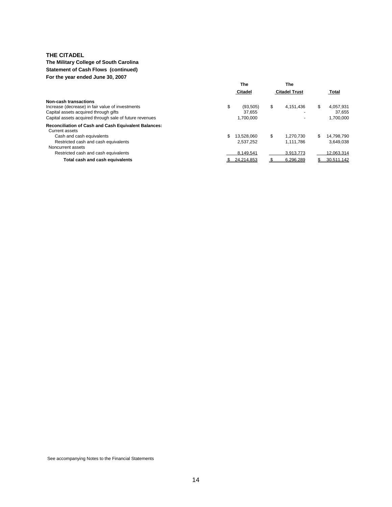#### **The Military College of South Carolina Statement of Cash Flows (continued) For the year ended June 30, 2007**

|                                                                                                                                                                                     | The                             | The                  |                                         |
|-------------------------------------------------------------------------------------------------------------------------------------------------------------------------------------|---------------------------------|----------------------|-----------------------------------------|
|                                                                                                                                                                                     | Citadel                         | <b>Citadel Trust</b> | <b>Total</b>                            |
| Non-cash transactions<br>Increase (decrease) in fair value of investments<br>\$<br>Capital assets acquired through gifts<br>Capital assets acquired through sale of future revenues | (93.505)<br>37.655<br>1.700.000 | \$<br>4.151.436      | 4.057.931<br>\$.<br>37.655<br>1.700.000 |
| <b>Reconciliation of Cash and Cash Equivalent Balances:</b><br>Current assets                                                                                                       |                                 |                      |                                         |
| Cash and cash equivalents                                                                                                                                                           | 13.528.060                      | \$<br>1.270.730      | 14.798.790<br>S                         |
| Restricted cash and cash equivalents                                                                                                                                                | 2.537.252                       | 1.111.786            | 3.649.038                               |
| Noncurrent assets                                                                                                                                                                   |                                 |                      |                                         |
| Restricted cash and cash equivalents                                                                                                                                                | 8.149.541                       | 3,913,773            | 12.063.314                              |
| Total cash and cash equivalents                                                                                                                                                     | 24.214.853                      | 6.296.289            | 30.511.142                              |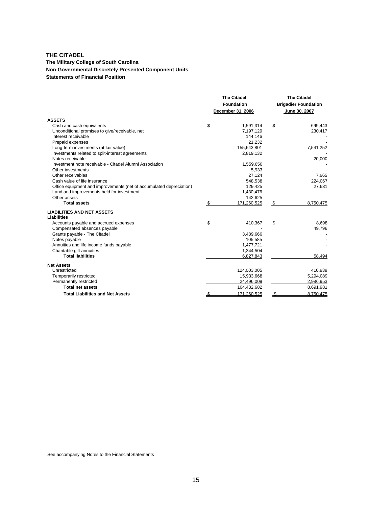#### **The Military College of South Carolina Non-Governmental Discretely Presented Component Units Statements of Financial Position**

|                                                                     | <b>The Citadel</b> |                   |               | <b>The Citadel</b>          |
|---------------------------------------------------------------------|--------------------|-------------------|---------------|-----------------------------|
|                                                                     |                    | <b>Foundation</b> |               | <b>Brigadier Foundation</b> |
|                                                                     |                    | December 31, 2006 | June 30, 2007 |                             |
| <b>ASSETS</b>                                                       |                    |                   |               |                             |
| Cash and cash equivalents                                           | \$                 | 1,591,314         | \$            | 699,443                     |
| Unconditional promises to give/receivable, net                      |                    | 7,197,129         |               | 230,417                     |
| Interest receivable                                                 |                    | 144,146           |               |                             |
| Prepaid expenses                                                    |                    | 21,232            |               |                             |
| Long-term investments (at fair value)                               |                    | 155,643,801       |               | 7,541,252                   |
| Investments related to split-interest agreements                    |                    | 2,819,132         |               |                             |
| Notes receivable                                                    |                    |                   |               | 20,000                      |
| Investment note receivable - Citadel Alumni Association             |                    | 1,559,650         |               |                             |
| Other investments                                                   |                    | 5,933             |               |                             |
| Other receivables                                                   |                    | 27,124            |               | 7,665                       |
| Cash value of life insurance                                        |                    | 548,538           |               | 224,067                     |
| Office equipment and improvements (net of accumulated depreciation) |                    | 129,425           |               | 27,631                      |
| Land and improvements held for investment                           |                    | 1,430,476         |               |                             |
| Other assets                                                        |                    | 142,625           |               |                             |
| <b>Total assets</b>                                                 | \$                 | 171,260,525       | \$            | 8,750,475                   |
| <b>LIABILITIES AND NET ASSETS</b><br><b>Liabilities</b>             |                    |                   |               |                             |
| Accounts payable and accrued expenses                               | \$                 | 410,367           | \$            | 8,698                       |
| Compensated absences payable                                        |                    |                   |               | 49,796                      |
| Grants payable - The Citadel                                        |                    | 3,489,666         |               |                             |
| Notes payable                                                       |                    | 105,585           |               |                             |
| Annuities and life income funds payable                             |                    | 1,477,721         |               |                             |
| Charitable gift annuities                                           |                    | 1,344,504         |               |                             |
| <b>Total liabilities</b>                                            |                    | 6,827,843         |               | 58.494                      |
| <b>Net Assets</b>                                                   |                    |                   |               |                             |
| Unrestricted                                                        |                    | 124,003,005       |               | 410,939                     |
| Temporarily restricted                                              |                    | 15,933,668        |               | 5,294,089                   |
| Permanently restricted                                              |                    | 24,496,009        |               | 2,986,953                   |
| <b>Total net assets</b>                                             |                    | 164,432,682       |               | 8,691,981                   |
| <b>Total Liabilities and Net Assets</b>                             |                    | 171.260.525       |               | 8.750.475                   |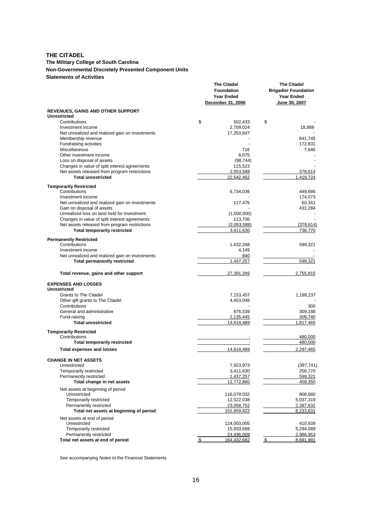#### **The Military College of South Carolina Non-Governmental Discretely Presented Component Units Statements of Activities**

|                                                                                                | <b>The Citadel</b><br><b>Foundation</b><br><b>Year Ended</b><br>December 31, 2006 | <b>The Citadel</b><br><b>Brigadier Foundation</b><br><b>Year Ended</b><br>June 30, 2007 |
|------------------------------------------------------------------------------------------------|-----------------------------------------------------------------------------------|-----------------------------------------------------------------------------------------|
| <b>REVENUES, GAINS AND OTHER SUPPORT</b><br><b>Unrestricted</b>                                |                                                                                   |                                                                                         |
| Contributions                                                                                  | \$<br>502,433                                                                     | \$                                                                                      |
| Investment income                                                                              | 2,709,024                                                                         | 18,888                                                                                  |
| Net unrealized and realized gain on investments                                                | 17,253,847                                                                        |                                                                                         |
| Membership revenue                                                                             |                                                                                   | 841,745                                                                                 |
| Fundraising activities                                                                         |                                                                                   | 172,831                                                                                 |
| Miscellaneous                                                                                  | 716                                                                               | 7,646                                                                                   |
| Other investment income                                                                        | 6,075                                                                             |                                                                                         |
| Loss on disposal of assets                                                                     | (98, 744)                                                                         |                                                                                         |
| Changes in value of split interest agreements<br>Net assets released from program restrictions | 115,523<br>2,053,588                                                              | 378,614                                                                                 |
| <b>Total unrestricted</b>                                                                      | 22,542,462                                                                        | 1,419,724                                                                               |
|                                                                                                |                                                                                   |                                                                                         |
| <b>Temporarily Restricted</b>                                                                  |                                                                                   |                                                                                         |
| Contributions                                                                                  | 6,734,036                                                                         | 449,686                                                                                 |
| Investment income<br>Net unrealized and realized gain on investments                           | 117,476                                                                           | 174,073<br>60,341                                                                       |
| Gain on disposal of assets                                                                     |                                                                                   | 431,284                                                                                 |
| Unrealized loss on land held for investment                                                    | (1,500,000)                                                                       |                                                                                         |
| Changes in value of split interest agreements                                                  | 113,706                                                                           |                                                                                         |
| Net assets released from program restrictions                                                  | (2,053,588)                                                                       | (378, 614)                                                                              |
| <b>Total temporarily restricted</b>                                                            | 3,411,630                                                                         | 736,770                                                                                 |
| <b>Permanently Restricted</b>                                                                  |                                                                                   |                                                                                         |
| Contributions                                                                                  | 1,432,268                                                                         | 599,321                                                                                 |
| Investment income                                                                              | 4,149                                                                             |                                                                                         |
| Net unrealized and realized gain on investments                                                | 840                                                                               |                                                                                         |
| <b>Total permanently restricted</b>                                                            | 1,437,257                                                                         | 599,321                                                                                 |
| Total revenue, gains and other support                                                         | 27,391,349                                                                        | 2,755,815                                                                               |
| <b>EXPENSES AND LOSSES</b>                                                                     |                                                                                   |                                                                                         |
| <b>Unrestricted</b>                                                                            |                                                                                   |                                                                                         |
| <b>Grants to The Citadel</b>                                                                   | 7,153,457                                                                         | 1,198,237                                                                               |
| Other gift grants to The Citadel                                                               | 4,453,048                                                                         |                                                                                         |
| Contributions<br>General and administrative                                                    |                                                                                   | 300                                                                                     |
| Fund-raising                                                                                   | 876,539<br>2,135,445                                                              | 309,188<br>309,740                                                                      |
| <b>Total unrestricted</b>                                                                      | 14,618,489                                                                        | 1,817,465                                                                               |
|                                                                                                |                                                                                   |                                                                                         |
| <b>Temporarily Restricted</b>                                                                  |                                                                                   |                                                                                         |
| Contributions<br><b>Total temporarily restricted</b>                                           |                                                                                   | 480,000<br>480,000                                                                      |
|                                                                                                | 14,618,489                                                                        | 2,297,465                                                                               |
| <b>Total expenses and losses</b>                                                               |                                                                                   |                                                                                         |
| <b>CHANGE IN NET ASSETS</b><br>Unrestricted                                                    |                                                                                   |                                                                                         |
| Temporarily restricted                                                                         | 7,923,973<br>3,411,630                                                            | (397, 741)<br>256,770                                                                   |
| Permanently restricted                                                                         | 1,437,257                                                                         | 599,321                                                                                 |
| Total change in net assets                                                                     | 12,772,860                                                                        | 458,350                                                                                 |
| Net assets at beginning of period                                                              |                                                                                   |                                                                                         |
| Unrestricted                                                                                   | 116,079,032                                                                       | 808,680                                                                                 |
| Temporarily restricted                                                                         | 12,522,038                                                                        | 5,037,319                                                                               |
| Permanently restricted                                                                         | 23,058,752                                                                        | 2,387,632                                                                               |
| Total net assets at beginning of period                                                        | <u>151,659,822</u>                                                                | 8,233,631                                                                               |
| Net assets at end of period                                                                    |                                                                                   |                                                                                         |
| Unrestricted                                                                                   | 124,003,005                                                                       | 410,939                                                                                 |
| Temporarily restricted                                                                         | 15,933,668                                                                        | 5,294,089                                                                               |
| Permanently restricted<br>Total net assets at end of period                                    | 24,496,009<br>164,432,682<br>\$                                                   | 2,986,953<br>\$<br>8,691,981                                                            |
|                                                                                                |                                                                                   |                                                                                         |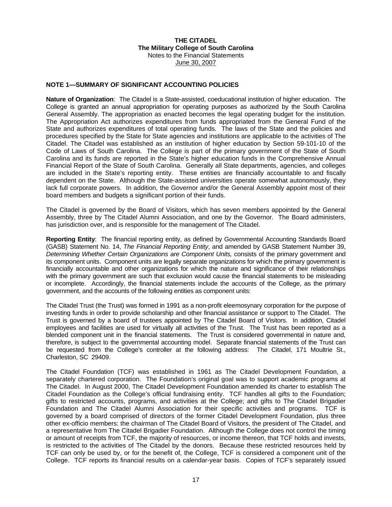#### **NOTE 1—SUMMARY OF SIGNIFICANT ACCOUNTING POLICIES**

**Nature of Organization**: The Citadel is a State-assisted, coeducational institution of higher education. The College is granted an annual appropriation for operating purposes as authorized by the South Carolina General Assembly. The appropriation as enacted becomes the legal operating budget for the institution. The Appropriation Act authorizes expenditures from funds appropriated from the General Fund of the State and authorizes expenditures of total operating funds. The laws of the State and the policies and procedures specified by the State for State agencies and institutions are applicable to the activities of The Citadel. The Citadel was established as an institution of higher education by Section 59-101-10 of the Code of Laws of South Carolina. The College is part of the primary government of the State of South Carolina and its funds are reported in the State's higher education funds in the Comprehensive Annual Financial Report of the State of South Carolina. Generally all State departments, agencies, and colleges are included in the State's reporting entity. These entities are financially accountable to and fiscally dependent on the State. Although the State-assisted universities operate somewhat autonomously, they lack full corporate powers. In addition, the Governor and/or the General Assembly appoint most of their board members and budgets a significant portion of their funds.

The Citadel is governed by the Board of Visitors, which has seven members appointed by the General Assembly, three by The Citadel Alumni Association, and one by the Governor. The Board administers, has jurisdiction over, and is responsible for the management of The Citadel.

**Reporting Entity**: The financial reporting entity, as defined by Governmental Accounting Standards Board (GASB) Statement No. 14, *The Financial Reporting Entity*, and amended by GASB Statement Number 39, *Determining Whether Certain Organizations are Component Units,* consists of the primary government and its component units. Component units are legally separate organizations for which the primary government is financially accountable and other organizations for which the nature and significance of their relationships with the primary government are such that exclusion would cause the financial statements to be misleading or incomplete. Accordingly, the financial statements include the accounts of the College, as the primary government, and the accounts of the following entities as component units:

The Citadel Trust (the Trust) was formed in 1991 as a non-profit eleemosynary corporation for the purpose of investing funds in order to provide scholarship and other financial assistance or support to The Citadel. The Trust is governed by a board of trustees appointed by The Citadel Board of Visitors. In addition, Citadel employees and facilities are used for virtually all activities of the Trust. The Trust has been reported as a blended component unit in the financial statements. The Trust is considered governmental in nature and, therefore, is subject to the governmental accounting model. Separate financial statements of the Trust can be requested from the College's controller at the following address: The Citadel, 171 Moultrie St., Charleston, SC 29409.

The Citadel Foundation (TCF) was established in 1961 as The Citadel Development Foundation, a separately chartered corporation. The Foundation's original goal was to support academic programs at The Citadel. In August 2000, The Citadel Development Foundation amended its charter to establish The Citadel Foundation as the College's official fundraising entity. TCF handles all gifts to the Foundation; gifts to restricted accounts, programs, and activities at the College; and gifts to The Citadel Brigadier Foundation and The Citadel Alumni Association for their specific activities and programs. TCF is governed by a board comprised of directors of the former Citadel Development Foundation, plus three other ex-officio members: the chairman of The Citadel Board of Visitors, the president of The Citadel, and a representative from The Citadel Brigadier Foundation. Although the College does not control the timing or amount of receipts from TCF, the majority of resources, or income thereon, that TCF holds and invests, is restricted to the activities of The Citadel by the donors. Because these restricted resources held by TCF can only be used by, or for the benefit of, the College, TCF is considered a component unit of the College. TCF reports its financial results on a calendar-year basis. Copies of TCF's separately issued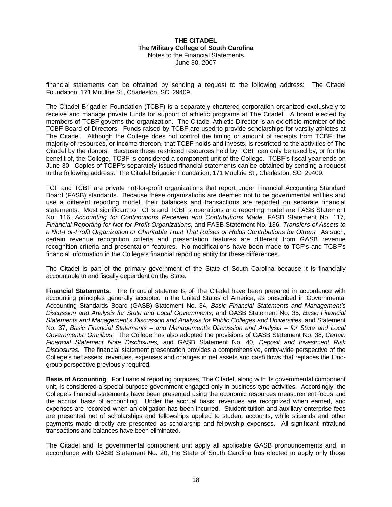financial statements can be obtained by sending a request to the following address: The Citadel Foundation, 171 Moultrie St., Charleston, SC 29409.

The Citadel Brigadier Foundation (TCBF) is a separately chartered corporation organized exclusively to receive and manage private funds for support of athletic programs at The Citadel. A board elected by members of TCBF governs the organization. The Citadel Athletic Director is an ex-officio member of the TCBF Board of Directors. Funds raised by TCBF are used to provide scholarships for varsity athletes at The Citadel. Although the College does not control the timing or amount of receipts from TCBF, the majority of resources, or income thereon, that TCBF holds and invests, is restricted to the activities of The Citadel by the donors. Because these restricted resources held by TCBF can only be used by, or for the benefit of, the College, TCBF is considered a component unit of the College. TCBF's fiscal year ends on June 30. Copies of TCBF's separately issued financial statements can be obtained by sending a request to the following address: The Citadel Brigadier Foundation, 171 Moultrie St., Charleston, SC 29409.

TCF and TCBF are private not-for-profit organizations that report under Financial Accounting Standard Board (FASB) standards. Because these organizations are deemed not to be governmental entities and use a different reporting model, their balances and transactions are reported on separate financial statements. Most significant to TCF's and TCBF's operations and reporting model are FASB Statement No. 116, *Accounting for Contributions Received and Contributions Made*, FASB Statement No. 117, *Financial Reporting for Not-for-Profit-Organizations,* and FASB Statement No. 136, *Transfers of Assets to a Not-For-Profit Organization or Charitable Trust That Raises or Holds Contributions for Others.* As such, certain revenue recognition criteria and presentation features are different from GASB revenue recognition criteria and presentation features. No modifications have been made to TCF's and TCBF's financial information in the College's financial reporting entity for these differences.

The Citadel is part of the primary government of the State of South Carolina because it is financially accountable to and fiscally dependent on the State.

**Financial Statements**: The financial statements of The Citadel have been prepared in accordance with accounting principles generally accepted in the United States of America, as prescribed in Governmental Accounting Standards Board (GASB) Statement No. 34, *Basic Financial Statements and Management's Discussion and Analysis for State and Local Governments*, and GASB Statement No. 35, *Basic Financial Statements and Management's Discussion and Analysis for Public Colleges and Universities,* and Statement No. 37, *Basic Financial Statements* – *and Management's Discussion and Analysis – for State and Local Governments: Omnibus.* The College has also adopted the provisions of GASB Statement No. 38, *Certain Financial Statement Note Disclosures,* and GASB Statement No. 40, *Deposit and Investment Risk Disclosures.* The financial statement presentation provides a comprehensive, entity-wide perspective of the College's net assets, revenues, expenses and changes in net assets and cash flows that replaces the fundgroup perspective previously required.

**Basis of Accounting**: For financial reporting purposes, The Citadel, along with its governmental component unit, is considered a special-purpose government engaged only in business-type activities. Accordingly, the College's financial statements have been presented using the economic resources measurement focus and the accrual basis of accounting. Under the accrual basis, revenues are recognized when earned, and expenses are recorded when an obligation has been incurred. Student tuition and auxiliary enterprise fees are presented net of scholarships and fellowships applied to student accounts, while stipends and other payments made directly are presented as scholarship and fellowship expenses. All significant intrafund transactions and balances have been eliminated.

The Citadel and its governmental component unit apply all applicable GASB pronouncements and, in accordance with GASB Statement No. 20, the State of South Carolina has elected to apply only those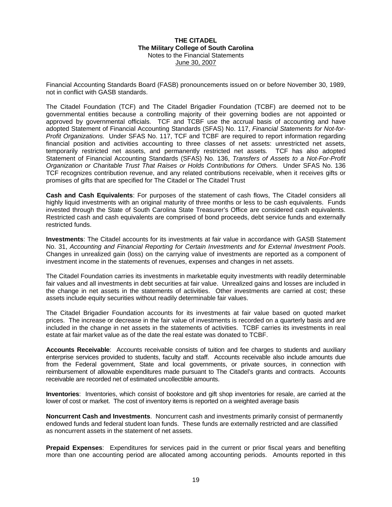Financial Accounting Standards Board (FASB) pronouncements issued on or before November 30, 1989, not in conflict with GASB standards.

The Citadel Foundation (TCF) and The Citadel Brigadier Foundation (TCBF) are deemed not to be governmental entities because a controlling majority of their governing bodies are not appointed or approved by governmental officials. TCF and TCBF use the accrual basis of accounting and have adopted Statement of Financial Accounting Standards (SFAS) No. 117, *Financial Statements for Not-for-Profit Organizations.* Under SFAS No. 117, TCF and TCBF are required to report information regarding financial position and activities accounting to three classes of net assets: unrestricted net assets, temporarily restricted net assets, and permanently restricted net assets*.* TCF has also adopted Statement of Financial Accounting Standards (SFAS) No. 136, *Transfers of Assets to a Not-For-Profit Organization or Charitable Trust That Raises or Holds Contributions for Others.* Under SFAS No. 136 TCF recognizes contribution revenue, and any related contributions receivable, when it receives gifts or promises of gifts that are specified for The Citadel or The Citadel Trust

**Cash and Cash Equivalents**: For purposes of the statement of cash flows, The Citadel considers all highly liquid investments with an original maturity of three months or less to be cash equivalents. Funds invested through the State of South Carolina State Treasurer's Office are considered cash equivalents. Restricted cash and cash equivalents are comprised of bond proceeds, debt service funds and externally restricted funds.

**Investments**: The Citadel accounts for its investments at fair value in accordance with GASB Statement No. 31, *Accounting and Financial Reporting for Certain Investments and for External Investment Pools*. Changes in unrealized gain (loss) on the carrying value of investments are reported as a component of investment income in the statements of revenues, expenses and changes in net assets.

The Citadel Foundation carries its investments in marketable equity investments with readily determinable fair values and all investments in debt securities at fair value. Unrealized gains and losses are included in the change in net assets in the statements of activities. Other investments are carried at cost; these assets include equity securities without readily determinable fair values.

The Citadel Brigadier Foundation accounts for its investments at fair value based on quoted market prices. The increase or decrease in the fair value of investments is recorded on a quarterly basis and are included in the change in net assets in the statements of activities. TCBF carries its investments in real estate at fair market value as of the date the real estate was donated to TCBF.

**Accounts Receivable**: Accounts receivable consists of tuition and fee charges to students and auxiliary enterprise services provided to students, faculty and staff. Accounts receivable also include amounts due from the Federal government, State and local governments, or private sources, in connection with reimbursement of allowable expenditures made pursuant to The Citadel's grants and contracts. Accounts receivable are recorded net of estimated uncollectible amounts.

**Inventories**: Inventories, which consist of bookstore and gift shop inventories for resale, are carried at the lower of cost or market. The cost of inventory items is reported on a weighted average basis

**Noncurrent Cash and Investments**. Noncurrent cash and investments primarily consist of permanently endowed funds and federal student loan funds. These funds are externally restricted and are classified as noncurrent assets in the statement of net assets.

**Prepaid Expenses**: Expenditures for services paid in the current or prior fiscal years and benefiting more than one accounting period are allocated among accounting periods. Amounts reported in this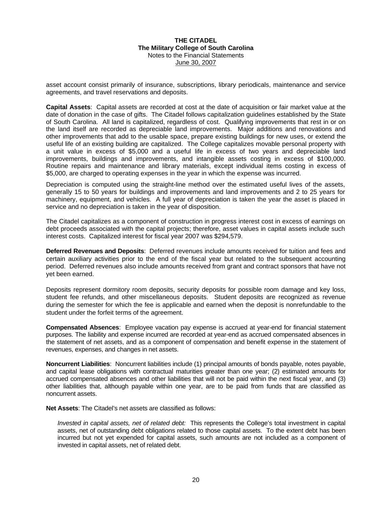asset account consist primarily of insurance, subscriptions, library periodicals, maintenance and service agreements, and travel reservations and deposits.

**Capital Assets**: Capital assets are recorded at cost at the date of acquisition or fair market value at the date of donation in the case of gifts. The Citadel follows capitalization guidelines established by the State of South Carolina. All land is capitalized, regardless of cost. Qualifying improvements that rest in or on the land itself are recorded as depreciable land improvements. Major additions and renovations and other improvements that add to the usable space, prepare existing buildings for new uses, or extend the useful life of an existing building are capitalized. The College capitalizes movable personal property with a unit value in excess of \$5,000 and a useful life in excess of two years and depreciable land improvements, buildings and improvements, and intangible assets costing in excess of \$100,000. Routine repairs and maintenance and library materials, except individual items costing in excess of \$5,000, are charged to operating expenses in the year in which the expense was incurred.

Depreciation is computed using the straight-line method over the estimated useful lives of the assets, generally 15 to 50 years for buildings and improvements and land improvements and 2 to 25 years for machinery, equipment, and vehicles. A full year of depreciation is taken the year the asset is placed in service and no depreciation is taken in the year of disposition.

The Citadel capitalizes as a component of construction in progress interest cost in excess of earnings on debt proceeds associated with the capital projects; therefore, asset values in capital assets include such interest costs. Capitalized interest for fiscal year 2007 was \$294,579.

**Deferred Revenues and Deposits**: Deferred revenues include amounts received for tuition and fees and certain auxiliary activities prior to the end of the fiscal year but related to the subsequent accounting period. Deferred revenues also include amounts received from grant and contract sponsors that have not yet been earned.

Deposits represent dormitory room deposits, security deposits for possible room damage and key loss, student fee refunds, and other miscellaneous deposits. Student deposits are recognized as revenue during the semester for which the fee is applicable and earned when the deposit is nonrefundable to the student under the forfeit terms of the agreement.

**Compensated Absences**: Employee vacation pay expense is accrued at year-end for financial statement purposes. The liability and expense incurred are recorded at year-end as accrued compensated absences in the statement of net assets, and as a component of compensation and benefit expense in the statement of revenues, expenses, and changes in net assets.

**Noncurrent Liabilities**: Noncurrent liabilities include (1) principal amounts of bonds payable, notes payable, and capital lease obligations with contractual maturities greater than one year; (2) estimated amounts for accrued compensated absences and other liabilities that will not be paid within the next fiscal year, and (3) other liabilities that, although payable within one year, are to be paid from funds that are classified as noncurrent assets.

**Net Assets**: The Citadel's net assets are classified as follows:

*Invested in capital assets, net of related debt:* This represents the College's total investment in capital assets, net of outstanding debt obligations related to those capital assets. To the extent debt has been incurred but not yet expended for capital assets, such amounts are not included as a component of invested in capital assets, net of related debt.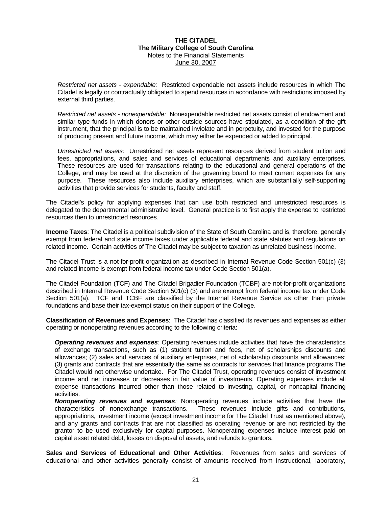*Restricted net assets - expendable:* Restricted expendable net assets include resources in which The Citadel is legally or contractually obligated to spend resources in accordance with restrictions imposed by external third parties.

*Restricted net assets - nonexpendable:* Nonexpendable restricted net assets consist of endowment and similar type funds in which donors or other outside sources have stipulated, as a condition of the gift instrument, that the principal is to be maintained inviolate and in perpetuity, and invested for the purpose of producing present and future income, which may either be expended or added to principal.

*Unrestricted net assets:* Unrestricted net assets represent resources derived from student tuition and fees, appropriations, and sales and services of educational departments and auxiliary enterprises. These resources are used for transactions relating to the educational and general operations of the College, and may be used at the discretion of the governing board to meet current expenses for any purpose. These resources also include auxiliary enterprises, which are substantially self-supporting activities that provide services for students, faculty and staff.

The Citadel's policy for applying expenses that can use both restricted and unrestricted resources is delegated to the departmental administrative level. General practice is to first apply the expense to restricted resources then to unrestricted resources.

**Income Taxes**: The Citadel is a political subdivision of the State of South Carolina and is, therefore, generally exempt from federal and state income taxes under applicable federal and state statutes and regulations on related income. Certain activities of The Citadel may be subject to taxation as unrelated business income.

The Citadel Trust is a not-for-profit organization as described in Internal Revenue Code Section 501(c) (3) and related income is exempt from federal income tax under Code Section 501(a).

The Citadel Foundation (TCF) and The Citadel Brigadier Foundation (TCBF) are not-for-profit organizations described in Internal Revenue Code Section 501(c) (3) and are exempt from federal income tax under Code Section 501(a). TCF and TCBF are classified by the Internal Revenue Service as other than private foundations and base their tax-exempt status on their support of the College.

**Classification of Revenues and Expenses**: The Citadel has classified its revenues and expenses as either operating or nonoperating revenues according to the following criteria:

*Operating revenues and expenses:* Operating revenues include activities that have the characteristics of exchange transactions, such as (1) student tuition and fees, net of scholarships discounts and allowances; (2) sales and services of auxiliary enterprises, net of scholarship discounts and allowances; (3) grants and contracts that are essentially the same as contracts for services that finance programs The Citadel would not otherwise undertake. For The Citadel Trust, operating revenues consist of investment income and net increases or decreases in fair value of investments. Operating expenses include all expense transactions incurred other than those related to investing, capital, or noncapital financing activities.

*Nonoperating revenues and expenses:* Nonoperating revenues include activities that have the characteristics of nonexchange transactions. These revenues include gifts and contributions, appropriations, investment income (except investment income for The Citadel Trust as mentioned above), and any grants and contracts that are not classified as operating revenue or are not restricted by the grantor to be used exclusively for capital purposes. Nonoperating expenses include interest paid on capital asset related debt, losses on disposal of assets, and refunds to grantors.

**Sales and Services of Educational and Other Activities**: Revenues from sales and services of educational and other activities generally consist of amounts received from instructional, laboratory,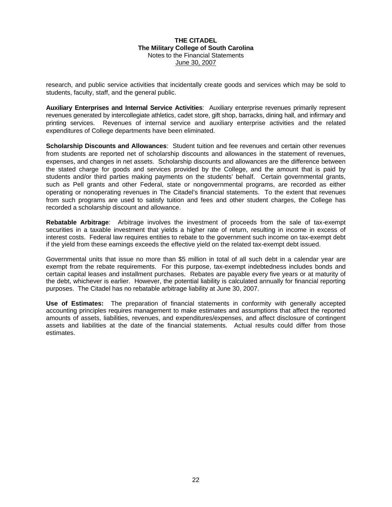research, and public service activities that incidentally create goods and services which may be sold to students, faculty, staff, and the general public.

**Auxiliary Enterprises and Internal Service Activities**: Auxiliary enterprise revenues primarily represent revenues generated by intercollegiate athletics, cadet store, gift shop, barracks, dining hall, and infirmary and printing services. Revenues of internal service and auxiliary enterprise activities and the related expenditures of College departments have been eliminated.

**Scholarship Discounts and Allowances**: Student tuition and fee revenues and certain other revenues from students are reported net of scholarship discounts and allowances in the statement of revenues, expenses, and changes in net assets. Scholarship discounts and allowances are the difference between the stated charge for goods and services provided by the College, and the amount that is paid by students and/or third parties making payments on the students' behalf. Certain governmental grants, such as Pell grants and other Federal, state or nongovernmental programs, are recorded as either operating or nonoperating revenues in The Citadel's financial statements. To the extent that revenues from such programs are used to satisfy tuition and fees and other student charges, the College has recorded a scholarship discount and allowance.

**Rebatable Arbitrage**: Arbitrage involves the investment of proceeds from the sale of tax-exempt securities in a taxable investment that yields a higher rate of return, resulting in income in excess of interest costs. Federal law requires entities to rebate to the government such income on tax-exempt debt if the yield from these earnings exceeds the effective yield on the related tax-exempt debt issued.

Governmental units that issue no more than \$5 million in total of all such debt in a calendar year are exempt from the rebate requirements. For this purpose, tax-exempt indebtedness includes bonds and certain capital leases and installment purchases. Rebates are payable every five years or at maturity of the debt, whichever is earlier. However, the potential liability is calculated annually for financial reporting purposes. The Citadel has no rebatable arbitrage liability at June 30, 2007.

**Use of Estimates:** The preparation of financial statements in conformity with generally accepted accounting principles requires management to make estimates and assumptions that affect the reported amounts of assets, liabilities, revenues, and expenditures/expenses, and affect disclosure of contingent assets and liabilities at the date of the financial statements. Actual results could differ from those estimates.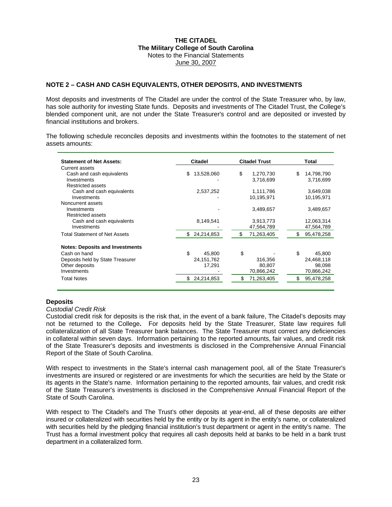#### **NOTE 2 – CASH AND CASH EQUIVALENTS, OTHER DEPOSITS, AND INVESTMENTS**

Most deposits and investments of The Citadel are under the control of the State Treasurer who, by law, has sole authority for investing State funds. Deposits and investments of The Citadel Trust, the College's blended component unit, are not under the State Treasurer's control and are deposited or invested by financial institutions and brokers.

The following schedule reconciles deposits and investments within the footnotes to the statement of net assets amounts:

| <b>Statement of Net Assets:</b>          | Citadel           | <b>Citadel Trust</b> | Total            |
|------------------------------------------|-------------------|----------------------|------------------|
| Current assets                           |                   |                      |                  |
| Cash and cash equivalents                | 13,528,060<br>\$  | \$<br>1,270,730      | 14,798,790<br>\$ |
| Investments                              |                   | 3,716,699            | 3,716,699        |
| Restricted assets                        |                   |                      |                  |
| Cash and cash equivalents                | 2,537,252         | 1,111,786            | 3,649,038        |
| Investments                              |                   | 10,195,971           | 10,195,971       |
| Noncurrent assets                        |                   |                      |                  |
| Investments                              |                   | 3,489,657            | 3,489,657        |
| Restricted assets                        |                   |                      |                  |
| Cash and cash equivalents<br>Investments | 8,149,541         | 3,913,773            | 12,063,314       |
|                                          |                   | 47,564,789           | 47,564,789       |
| <b>Total Statement of Net Assets</b>     | 24,214,853<br>\$. | 71,263,405<br>\$     | 95,478,258<br>S. |
|                                          |                   |                      |                  |
| <b>Notes: Deposits and Investments</b>   |                   |                      |                  |
| Cash on hand                             | \$<br>45.800      | \$                   | \$<br>45.800     |
| Deposits held by State Treasurer         | 24, 151, 762      | 316,356              | 24,468,118       |
| Other deposits                           | 17,291            | 80,807               | 98,098           |
| Investments                              |                   | 70,866,242           | 70,866,242       |
| <b>Total Notes</b>                       | 24,214,853<br>£.  | 71,263,405<br>\$     | 95,478,258       |

#### **Deposits**

#### *Custodial Credit Risk*

Custodial credit risk for deposits is the risk that, in the event of a bank failure, The Citadel's deposits may not be returned to the College**.** For deposits held by the State Treasurer, State law requires full collateralization of all State Treasurer bank balances. The State Treasurer must correct any deficiencies in collateral within seven days. Information pertaining to the reported amounts, fair values, and credit risk of the State Treasurer's deposits and investments is disclosed in the Comprehensive Annual Financial Report of the State of South Carolina.

With respect to investments in the State's internal cash management pool, all of the State Treasurer's investments are insured or registered or are investments for which the securities are held by the State or its agents in the State's name. Information pertaining to the reported amounts, fair values, and credit risk of the State Treasurer's investments is disclosed in the Comprehensive Annual Financial Report of the State of South Carolina.

With respect to The Citadel's and The Trust's other deposits at year-end, all of these deposits are either insured or collateralized with securities held by the entity or by its agent in the entity's name, or collateralized with securities held by the pledging financial institution's trust department or agent in the entity's name. The Trust has a formal investment policy that requires all cash deposits held at banks to be held in a bank trust department in a collateralized form.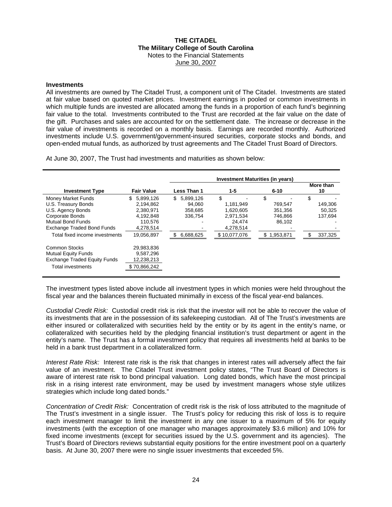#### **Investments**

All investments are owned by The Citadel Trust, a component unit of The Citadel. Investments are stated at fair value based on quoted market prices. Investment earnings in pooled or common investments in which multiple funds are invested are allocated among the funds in a proportion of each fund's beginning fair value to the total. Investments contributed to the Trust are recorded at the fair value on the date of the gift. Purchases and sales are accounted for on the settlement date. The increase or decrease in the fair value of investments is recorded on a monthly basis. Earnings are recorded monthly. Authorized investments include U.S. government/government-insured securities, corporate stocks and bonds, and open-ended mutual funds, as authorized by trust agreements and The Citadel Trust Board of Directors.

At June 30, 2007, The Trust had investments and maturities as shown below:

|                                                                                                                                                                                             |                                                                                              | Investment Maturities (in years)                                     |                                                                                  |                                                                  |                                                    |  |  |
|---------------------------------------------------------------------------------------------------------------------------------------------------------------------------------------------|----------------------------------------------------------------------------------------------|----------------------------------------------------------------------|----------------------------------------------------------------------------------|------------------------------------------------------------------|----------------------------------------------------|--|--|
| <b>Investment Type</b>                                                                                                                                                                      | <b>Fair Value</b>                                                                            | Less Than 1                                                          | 1-5                                                                              | $6 - 10$                                                         | More than<br>10                                    |  |  |
| Money Market Funds<br>U.S. Treasury Bonds<br>U.S. Agency Bonds<br><b>Corporate Bonds</b><br><b>Mutual Bond Funds</b><br><b>Exchange Traded Bond Funds</b><br>Total fixed income investments | \$<br>5,899,126<br>2.194.862<br>2,380,971<br>4.192.848<br>110.576<br>4,278,514<br>19.056.897 | 5,899,126<br>\$<br>94.060<br>358.685<br>336.754<br>6,688,625<br>- \$ | \$<br>1.181.949<br>1.620.605<br>2,971,534<br>24.474<br>4,278,514<br>\$10,077,076 | \$<br>769.547<br>351.356<br>746,866<br>86.102<br>1,953,871<br>S. | \$<br>149.306<br>50.325<br>137.694<br>337,325<br>S |  |  |
| <b>Common Stocks</b><br><b>Mutual Equity Funds</b><br><b>Exchange Traded Equity Funds</b><br>Total investments                                                                              | 29,983,836<br>9.587.296<br>12,238,213<br>\$70,866,242                                        |                                                                      |                                                                                  |                                                                  |                                                    |  |  |

The investment types listed above include all investment types in which monies were held throughout the fiscal year and the balances therein fluctuated minimally in excess of the fiscal year-end balances.

*Custodial Credit Risk:* Custodial credit risk is risk that the investor will not be able to recover the value of its investments that are in the possession of its safekeeping custodian. All of The Trust's investments are either insured or collateralized with securities held by the entity or by its agent in the entity's name, or collateralized with securities held by the pledging financial institution's trust department or agent in the entity's name. The Trust has a formal investment policy that requires all investments held at banks to be held in a bank trust department in a collateralized form.

*Interest Rate Risk:* Interest rate risk is the risk that changes in interest rates will adversely affect the fair value of an investment. The Citadel Trust investment policy states, "The Trust Board of Directors is aware of interest rate risk to bond principal valuation. Long dated bonds, which have the most principal risk in a rising interest rate environment, may be used by investment managers whose style utilizes strategies which include long dated bonds."

*Concentration of Credit Risk:* Concentration of credit risk is the risk of loss attributed to the magnitude of The Trust's investment in a single issuer. The Trust's policy for reducing this risk of loss is to require each investment manager to limit the investment in any one issuer to a maximum of 5% for equity investments (with the exception of one manager who manages approximately \$3.6 million) and 10% for fixed income investments (except for securities issued by the U.S. government and its agencies). The Trust's Board of Directors reviews substantial equity positions for the entire investment pool on a quarterly basis. At June 30, 2007 there were no single issuer investments that exceeded 5%.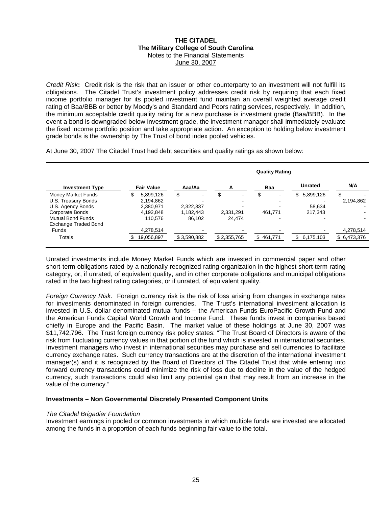*Credit Risk***:** Credit risk is the risk that an issuer or other counterparty to an investment will not fulfill it s obligations. The Citadel Trust's investment policy addresses credit risk by requiring that each fixe d income portfolio manager for its pooled investment fund maintain an overall weighted average credi t rating of Baa/BBB or better by Moody's and Standard and Poors rating services, respectively. In addition , the minimum acceptable credit quality rating for a new purchase is investment grade (Baa/BBB). In th e event a bond is downgraded below investment grade, the investment manager shall immediately evaluat e the fixed income portfolio position and take appropriate action. An exception to holding below investmen t grade bonds is the ownership by The Trust of bond index pooled vehicles.

At June 30, 2007 The Citadel Trust had debt securities and quality ratings as shown below:

|                          |                   |             |                      | <b>Quality Rating</b> |                 |              |
|--------------------------|-------------------|-------------|----------------------|-----------------------|-----------------|--------------|
| <b>Investment Type</b>   | <b>Fair Value</b> | Aaa/Aa      | А                    | Baa                   | <b>Unrated</b>  | N/A          |
| Money Market Funds       | 5.899.126         | \$<br>۰.    | \$<br>$\blacksquare$ | \$                    | 5,899,126<br>\$ | \$           |
| U.S. Treasury Bonds      | 2,194,862         | -           | ۰                    |                       |                 | 2,194,862    |
| U.S. Agency Bonds        | 2,380,971         | 2,322,337   |                      |                       | 58.634          |              |
| Corporate Bonds          | 4,192,848         | 1.182.443   | 2,331,291            | 461,771               | 217.343         |              |
| <b>Mutual Bond Funds</b> | 110.576           | 86.102      | 24.474               |                       |                 |              |
| Exchange Traded Bond     |                   |             |                      |                       |                 |              |
| <b>Funds</b>             | 4,278,514         |             |                      |                       |                 | 4,278,514    |
| Totals                   | 19,056,897        | \$3,590,882 | \$2,355,765          | \$461,771             | 6,175,103       | \$ 6,473,376 |

Unrated investments include Money Market Funds which are invested in commercial paper and other short-term obligations rated by a nationally recognized rating organization in the highest short-term rating category, or, if unrated, of equivalent quality, and in other corporate obligations and municipal obligations rated in the two highest rating categories, or if unrated, of equivalent quality.

*Foreign Currency Risk.* Foreign currency risk is the risk of loss arising from changes in exchange rates for investments denominated in foreign currencies. The Trust's international investment allocation is invested in U.S. dollar denominated mutual funds – the American Funds EuroPacific Growth Fund and the American Funds Capital World Growth and Income Fund. These funds invest in companies based chiefly in Europe and the Pacific Basin. The market value of these holdings at June 30, 2007 was \$11,742,796. The Trust foreign currency risk policy states: "The Trust Board of Directors is aware of the risk from fluctuating currency values in that portion of the fund which is invested in international securities. Investment managers who invest in international securities may purchase and sell currencies to facilitate currency exchange rates. Such currency transactions are at the discretion of the international investment manager(s) and it is recognized by the Board of Directors of The Citadel Trust that while entering into forward currency transactions could minimize the risk of loss due to decline in the value of the hedged currency, such transactions could also limit any potential gain that may result from an increase in the value of the currency."

#### **Investments – Non Governmental Discretely Presented Component Units**

#### *The Citadel Brigadier Foundation*

Investment earnings in pooled or common investments in which multiple funds are invested are allocated among the funds in a proportion of each funds beginning fair value to the total.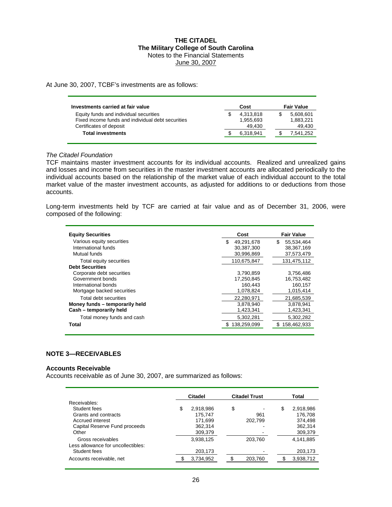At June 30, 2007, TCBF's investments are as follows:

| Investments carried at fair value                 | Cost      | <b>Fair Value</b> |
|---------------------------------------------------|-----------|-------------------|
| Equity funds and individual securities            | 4.313.818 | 5,608,601         |
| Fixed income funds and individual debt securities | 1.955.693 | 1,883,221         |
| Certificates of deposit                           | 49.430    | 49,430            |
| <b>Total investments</b>                          | 6,318,941 | 7,541,252         |

#### *The Citadel Foundation*

TCF maintains master investment accounts for its individual accounts. Realized and unrealized gains and losses and income from securities in the master investment accounts are allocated periodically to the individual accounts based on the relationship of the market value of each individual account to the total market value of the master investment accounts, as adjusted for additions to or deductions from those accounts.

Long-term investments held by TCF are carried at fair value and as of December 31, 2006, were composed of the following:

| <b>Equity Securities</b>       | Cost              | <b>Fair Value</b> |
|--------------------------------|-------------------|-------------------|
| Various equity securities      | \$.<br>49.291.678 | \$<br>55,534,464  |
| International funds            | 30,387,300        | 38,367,169        |
| Mutual funds                   | 30,996,869        | 37,573,479        |
| Total equity securities        | 110,675,847       | 131.475.112       |
| <b>Debt Securities</b>         |                   |                   |
| Corporate debt securities      | 3,790,859         | 3,756,486         |
| Government bonds               | 17.250.845        | 16,753,482        |
| International bonds            | 160,443           | 160,157           |
| Mortgage backed securities     | 1,078,824         | 1,015,414         |
| Total debt securities          | 22.280.971        | 21.685.539        |
| Money funds - temporarily held | 3,878,940         | 3,878,941         |
| Cash - temporarily held        | 1,423,341         | 1,423,341         |
| Total money funds and cash     | 5,302,281         | 5,302,282         |
| Total                          | 138,259,099       | \$158,462,933     |
|                                |                   |                   |

#### **NOTE 3—RECEIVABLES**

#### **Accounts Receivable**

Accounts receivable as of June 30, 2007, are summarized as follows:

|                                                         | Citadel |           | <b>Citadel Trust</b> | Total           |  |  |
|---------------------------------------------------------|---------|-----------|----------------------|-----------------|--|--|
| Receivables:                                            |         |           |                      |                 |  |  |
| Student fees                                            | \$      | 2,918,986 | \$                   | \$<br>2,918,986 |  |  |
| Grants and contracts                                    |         | 175.747   | 961                  | 176.708         |  |  |
| Accrued interest                                        |         | 171,699   | 202,799              | 374,498         |  |  |
| Capital Reserve Fund proceeds                           |         | 362,314   |                      | 362,314         |  |  |
| Other                                                   |         | 309,379   |                      | 309,379         |  |  |
| Gross receivables<br>Less allowance for uncollectibles: |         | 3,938,125 | 203,760              | 4,141,885       |  |  |
| Student fees                                            |         | 203,173   |                      | 203,173         |  |  |
| Accounts receivable, net                                |         | 3,734,952 | 203,760              | 3,938,712       |  |  |
|                                                         |         |           |                      |                 |  |  |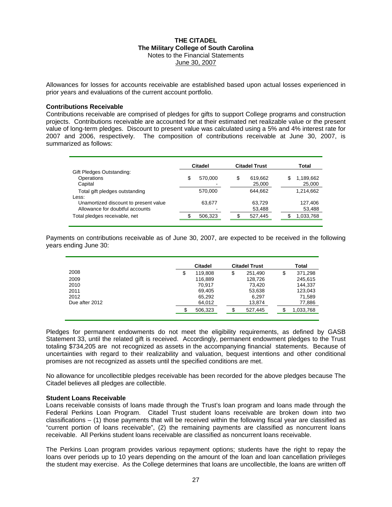Allowances for losses for accounts receivable are established based upon actual losses experienced in prior years and evaluations of the current account portfolio.

#### **Contributions Receivable**

Contributions receivable are comprised of pledges for gifts to support College programs and construction projects. Contributions receivable are accounted for at their estimated net realizable value or the present value of long-term pledges. Discount to present value was calculated using a 5% and 4% interest rate for 2007 and 2006, respectively. The composition of contributions receivable at June 30, 2007, is summarized as follows:

|                                                                          | Citadel |                                     | <b>Citadel Trust</b>    |   | Total               |
|--------------------------------------------------------------------------|---------|-------------------------------------|-------------------------|---|---------------------|
| Gift Pledges Outstanding:<br>Operations<br>Capital                       | \$      | 570.000<br>$\overline{\phantom{0}}$ | \$<br>619,662<br>25,000 | S | 1,189,662<br>25,000 |
| Total gift pledges outstanding<br>Less:                                  |         | 570.000                             | 644.662                 |   | 1,214,662           |
| Unamortized discount to present value<br>Allowance for doubtful accounts |         | 63,677                              | 63.729<br>53,488        |   | 127.406<br>53,488   |
| Total pledges receivable, net                                            |         | 506,323                             | 527,445                 |   | 1,033,768           |

Payments on contributions receivable as of June 30, 2007, are expected to be received in the following years ending June 30:

|                | <b>Citadel</b> |    | <b>Citadel Trust</b> |    | Total     |  |  |
|----------------|----------------|----|----------------------|----|-----------|--|--|
| 2008           | \$<br>119,808  | \$ | 251,490              | \$ | 371,298   |  |  |
| 2009           | 116,889        |    | 128,726              |    | 245,615   |  |  |
| 2010           | 70.917         |    | 73,420               |    | 144.337   |  |  |
| 2011           | 69,405         |    | 53,638               |    | 123,043   |  |  |
| 2012           | 65,292         |    | 6,297                |    | 71,589    |  |  |
| Due after 2012 | 64,012         |    | 13,874               |    | 77,886    |  |  |
|                | 506,323        |    | 527,445              |    | 1,033,768 |  |  |
|                |                |    |                      |    |           |  |  |

Pledges for permanent endowments do not meet the eligibility requirements, as defined by GASB Statement 33, until the related gift is received. Accordingly, permanent endowment pledges to the Trust totaling \$734,205 are not recognized as assets in the accompanying financial statements. Because of uncertainties with regard to their realizability and valuation, bequest intentions and other conditional promises are not recognized as assets until the specified conditions are met.

No allowance for uncollectible pledges receivable has been recorded for the above pledges because The Citadel believes all pledges are collectible.

#### **Student Loans Receivable**

Loans receivable consists of loans made through the Trust's loan program and loans made through the Federal Perkins Loan Program. Citadel Trust student loans receivable are broken down into two classifications  $-$  (1) those payments that will be received within the following fiscal year are classified as "current portion of loans receivable", (2) the remaining payments are classified as noncurrent loans receivable. All Perkins student loans receivable are classified as noncurrent loans receivable.

The Perkins Loan program provides various repayment options; students have the right to repay the loans over periods up to 10 years depending on the amount of the loan and loan cancellation privileges the student may exercise. As the College determines that loans are uncollectible, the loans are written off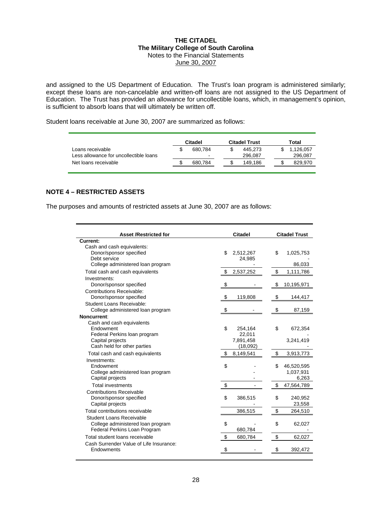and assigned to the US Department of Education. The Trust's loan program is administered similarly; except these loans are non-cancelable and written-off loans are not assigned to the US Department of Education. The Trust has provided an allowance for uncollectible loans, which, in management's opinion, is sufficient to absorb loans that will ultimately be written off.

Student loans receivable at June 30, 2007 are summarized as follows:

|                                                            | Citadel |                                     | <b>Citadel Trust</b> |   | Total                |
|------------------------------------------------------------|---------|-------------------------------------|----------------------|---|----------------------|
| Loans receivable<br>Less allowance for uncollectible loans |         | 680.784<br>$\overline{\phantom{a}}$ | 445.273<br>296.087   |   | 1.126.057<br>296,087 |
| Net loans receivable                                       |         | 680.784                             | 149.186              | S | 829.970              |

#### **NOTE 4 – RESTRICTED ASSETS**

The purposes and amounts of restricted assets at June 30, 2007 are as follows:

| <b>Asset /Restricted for</b>            | <b>Citadel</b> |           |    | <b>Citadel Trust</b> |  |  |
|-----------------------------------------|----------------|-----------|----|----------------------|--|--|
| Current:                                |                |           |    |                      |  |  |
| Cash and cash equivalents:              |                |           |    |                      |  |  |
| Donor/sponsor specified                 | \$             | 2,512,267 | \$ | 1,025,753            |  |  |
| Debt service                            |                | 24,985    |    |                      |  |  |
| College administered loan program       |                |           |    | 86,033               |  |  |
| Total cash and cash equivalents         | \$             | 2,537,252 | \$ | 1,111,786            |  |  |
| Investments:                            |                |           |    |                      |  |  |
| Donor/sponsor specified                 |                |           |    | 10,195,971           |  |  |
| <b>Contributions Receivable:</b>        |                |           |    |                      |  |  |
| Donor/sponsor specified                 | \$             | 119,808   | \$ | 144,417              |  |  |
| Student Loans Receivable:               |                |           |    |                      |  |  |
| College administered loan program       | \$             |           | \$ | 87,159               |  |  |
| Noncurrent:                             |                |           |    |                      |  |  |
| Cash and cash equivalents               |                |           |    |                      |  |  |
| Endowment                               | \$             | 254,164   | \$ | 672,354              |  |  |
| Federal Perkins loan program            |                | 22,011    |    |                      |  |  |
| Capital projects                        |                | 7,891,458 |    | 3,241,419            |  |  |
| Cash held for other parties             |                | (18,092)  |    |                      |  |  |
| Total cash and cash equivalents         | \$             | 8,149,541 | \$ | 3,913,773            |  |  |
| Investments:                            |                |           |    |                      |  |  |
| Endowment                               | \$             |           | \$ | 46,520,595           |  |  |
| College administered loan program       |                |           |    | 1,037,931            |  |  |
| Capital projects                        |                |           |    | 6,263                |  |  |
| <b>Total investments</b>                | \$             |           | \$ | 47,564,789           |  |  |
| <b>Contributions Receivable</b>         |                |           |    |                      |  |  |
| Donor/sponsor specified                 | \$             | 386,515   | \$ | 240,952              |  |  |
| Capital projects                        |                |           |    | 23,558               |  |  |
| Total contributions receivable          |                | 386,515   | \$ | 264,510              |  |  |
| Student Loans Receivable                |                |           |    |                      |  |  |
| College administered loan program       | \$             |           | \$ | 62,027               |  |  |
| Federal Perkins Loan Program            |                | 680,784   |    |                      |  |  |
| Total student loans receivable          | S              | 680,784   | \$ | 62,027               |  |  |
| Cash Surrender Value of Life Insurance: |                |           |    |                      |  |  |
| Endowments                              | \$             |           | \$ | 392,472              |  |  |
|                                         |                |           |    |                      |  |  |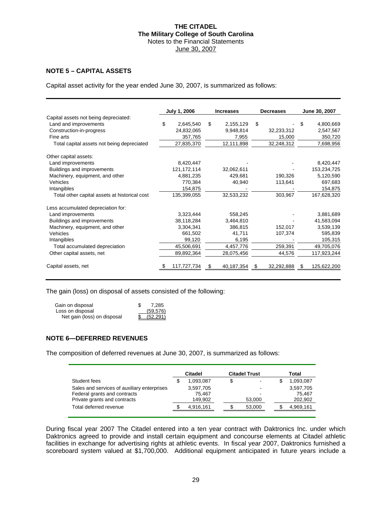### **NOTE 5 – CAPITAL ASSETS**

Capital asset activity for the year ended June 30, 2007, is summarized as follows:

|                                               | <b>July 1, 2006</b> | <b>Increases</b> |    | <b>Decreases</b> |    | June 30, 2007 |
|-----------------------------------------------|---------------------|------------------|----|------------------|----|---------------|
| Capital assets not being depreciated:         |                     |                  |    |                  |    |               |
| Land and improvements                         | \$<br>2,645,540     | \$<br>2,155,129  | \$ |                  | S  | 4,800,669     |
| Construction-in-progress                      | 24,832,065          | 9,948,814        |    | 32,233,312       |    | 2,547,567     |
| Fine arts                                     | 357,765             | 7,955            |    | 15,000           |    | 350,720       |
| Total capital assets not being depreciated    | 27,835,370          | 12,111,898       |    | 32,248,312       |    | 7,698,956     |
| Other capital assets:                         |                     |                  |    |                  |    |               |
| Land improvements                             | 8,420,447           |                  |    |                  |    | 8,420,447     |
| Buildings and improvements                    | 121, 172, 114       | 32,062,611       |    |                  |    | 153,234,725   |
| Machinery, equipment, and other               | 4.881.235           | 429,681          |    | 190,326          |    | 5,120,590     |
| Vehicles                                      | 770,384             | 40,940           |    | 113,641          |    | 697,683       |
| Intangibles                                   | 154,875             |                  |    |                  |    | 154,875       |
| Total other capital assets at historical cost | 135,399,055         | 32,533,232       |    | 303,967          |    | 167,628,320   |
| Less accumulated depreciation for:            |                     |                  |    |                  |    |               |
| Land improvements                             | 3,323,444           | 558,245          |    |                  |    | 3,881,689     |
| Buildings and improvements                    | 38,118,284          | 3,464,810        |    |                  |    | 41,583,094    |
| Machinery, equipment, and other               | 3,304,341           | 386.815          |    | 152.017          |    | 3,539,139     |
| Vehicles                                      | 661,502             | 41,711           |    | 107,374          |    | 595,839       |
| Intangibles                                   | 99,120              | 6,195            |    |                  |    | 105,315       |
| Total accumulated depreciation                | 45,506,691          | 4,457,776        |    | 259,391          |    | 49,705,076    |
| Other capital assets, net                     | 89,892,364          | 28,075,456       |    | 44,576           |    | 117,923,244   |
| Capital assets, net                           | 117,727,734         | \$<br>40,187,354 | £. | 32,292,888       | £. | 125,622,200   |

The gain (loss) on disposal of assets consisted of the following:

| Gain on disposal            | 7.285     |
|-----------------------------|-----------|
| Loss on disposal            | (59, 576) |
| Net gain (loss) on disposal | (52.291)  |

#### **NOTE 6—DEFERRED REVENUES**

The composition of deferred revenues at June 30, 2007, is summarized as follows:

| Citadel |           |        |                      | Total     |
|---------|-----------|--------|----------------------|-----------|
|         | 1,093,087 | \$     | S                    | 1,093,087 |
|         | 3,597,705 |        |                      | 3,597,705 |
|         | 75.467    |        |                      | 75.467    |
|         | 149,902   | 53,000 |                      | 202,902   |
|         | 4.916.161 | 53,000 |                      | 4,969,161 |
|         |           |        | <b>Citadel Trust</b> |           |

During fiscal year 2007 The Citadel entered into a ten year contract with Daktronics Inc. under which Daktronics agreed to provide and install certain equipment and concourse elements at Citadel athletic facilities in exchange for advertising rights at athletic events. In fiscal year 2007, Daktronics furnished a scoreboard system valued at \$1,700,000. Additional equipment anticipated in future years include a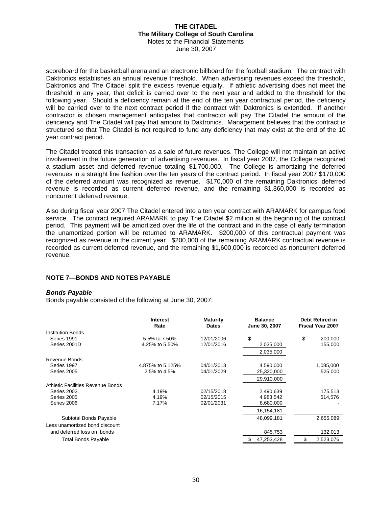scoreboard for the basketball arena and an electronic billboard for the football stadium. The contract with Daktronics establishes an annual revenue threshold. When advertising revenues exceed the threshold, Daktronics and The Citadel split the excess revenue equally. If athletic advertising does not meet the threshold in any year, that deficit is carried over to the next year and added to the threshold for the following year. Should a deficiency remain at the end of the ten year contractual period, the deficiency will be carried over to the next contract period if the contract with Daktronics is extended. If another contractor is chosen management anticipates that contractor will pay The Citadel the amount of the deficiency and The Citadel will pay that amount to Daktronics. Management believes that the contract is structured so that The Citadel is not required to fund any deficiency that may exist at the end of the 10 year contract period.

The Citadel treated this transaction as a sale of future revenues. The College will not maintain an active involvement in the future generation of advertising revenues. In fiscal year 2007, the College recognized a stadium asset and deferred revenue totaling \$1,700,000. The College is amortizing the deferred revenues in a straight line fashion over the ten years of the contract period. In fiscal year 2007 \$170,000 of the deferred amount was recognized as revenue. \$170,000 of the remaining Daktronics' deferred revenue is recorded as current deferred revenue, and the remaining \$1,360,000 is recorded as noncurrent deferred revenue.

Also during fiscal year 2007 The Citadel entered into a ten year contract with ARAMARK for campus food service. The contract required ARAMARK to pay The Citadel \$2 million at the beginning of the contract period. This payment will be amortized over the life of the contract and in the case of early termination the unamortized portion will be returned to ARAMARK. \$200,000 of this contractual payment was recognized as revenue in the current year. \$200,000 of the remaining ARAMARK contractual revenue is recorded as current deferred revenue, and the remaining \$1,600,000 is recorded as noncurrent deferred revenue.

#### **NOTE 7—BONDS AND NOTES PAYABLE**

#### *Bonds Payable*

Bonds payable consisted of the following at June 30, 2007:

|                                          | <b>Interest</b><br>Rate | <b>Maturity</b><br><b>Dates</b> | <b>Balance</b><br>June 30, 2007 | <b>Debt Retired in</b><br><b>Fiscal Year 2007</b> |           |  |
|------------------------------------------|-------------------------|---------------------------------|---------------------------------|---------------------------------------------------|-----------|--|
| Institution Bonds                        |                         |                                 |                                 |                                                   |           |  |
| Series 1991                              | 5.5% to 7.50%           | 12/01/2006                      | \$                              | \$                                                | 200,000   |  |
| Series 2001D                             | 4.25% to 5.50%          | 12/01/2016                      | 2,035,000                       |                                                   | 155,000   |  |
|                                          |                         |                                 | 2,035,000                       |                                                   |           |  |
| Revenue Bonds                            |                         |                                 |                                 |                                                   |           |  |
| Series 1997                              | 4.875% to 5.125%        | 04/01/2013                      | 4,590,000                       |                                                   | 1,085,000 |  |
| Series 2005                              | 2.5% to 4.5%            | 04/01/2029                      | 25,320,000                      |                                                   | 525,000   |  |
|                                          |                         |                                 | 29,910,000                      |                                                   |           |  |
| <b>Athletic Facilities Revenue Bonds</b> |                         |                                 |                                 |                                                   |           |  |
| Series 2003                              | 4.19%                   | 02/15/2018                      | 2,490,639                       |                                                   | 175,513   |  |
| Series 2005                              | 4.19%                   | 02/15/2015                      | 4,983,542                       |                                                   | 514,576   |  |
| Series 2006                              | 7.17%                   | 02/01/2031                      | 8,680,000                       |                                                   |           |  |
|                                          |                         |                                 | 16,154,181                      |                                                   |           |  |
| Subtotal Bonds Payable                   |                         |                                 | 48,099,181                      |                                                   | 2,655,089 |  |
| Less unamortized bond discount           |                         |                                 |                                 |                                                   |           |  |
| and deferred loss on bonds               |                         |                                 | 845,753                         |                                                   | 132,013   |  |
| Total Bonds Payable                      |                         |                                 | 47,253,428                      | S                                                 | 2.523.076 |  |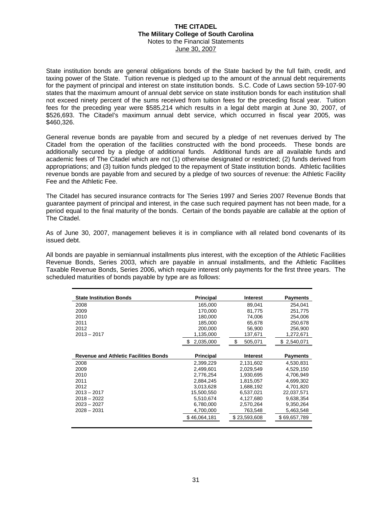State institution bonds are general obligations bonds of the State backed by the full faith, credit, and taxing power of the State. Tuition revenue is pledged up to the amount of the annual debt requirements for the payment of principal and interest on state institution bonds. S.C. Code of Laws section 59-107-90 states that the maximum amount of annual debt service on state institution bonds for each institution shall not exceed ninety percent of the sums received from tuition fees for the preceding fiscal year. Tuition fees for the preceding year were \$585,214 which results in a legal debt margin at June 30, 2007, of \$526,693. The Citadel's maximum annual debt service, which occurred in fiscal year 2005, was \$460,326.

General revenue bonds are payable from and secured by a pledge of net revenues derived by The Citadel from the operation of the facilities constructed with the bond proceeds. These bonds are additionally secured by a pledge of additional funds. Additional funds are all available funds and academic fees of The Citadel which are not (1) otherwise designated or restricted; (2) funds derived from appropriations; and (3) tuition funds pledged to the repayment of State institution bonds. Athletic facilities revenue bonds are payable from and secured by a pledge of two sources of revenue: the Athletic Facility Fee and the Athletic Fee.

The Citadel has secured insurance contracts for The Series 1997 and Series 2007 Revenue Bonds that guarantee payment of principal and interest, in the case such required payment has not been made, for a period equal to the final maturity of the bonds. Certain of the bonds payable are callable at the option of The Citadel.

As of June 30, 2007, management believes it is in compliance with all related bond covenants of its issued debt.

All bonds are payable in semiannual installments plus interest, with the exception of the Athletic Facilities Revenue Bonds, Series 2003, which are payable in annual installments, and the Athletic Facilities Taxable Revenue Bonds, Series 2006, which require interest only payments for the first three years. The scheduled maturities of bonds payable by type are as follows:

| <b>State Institution Bonds</b>               | <b>Principal</b> | <b>Interest</b> | <b>Payments</b> |
|----------------------------------------------|------------------|-----------------|-----------------|
| 2008                                         | 165,000          | 89.041          | 254.041         |
| 2009                                         | 170.000          | 81.775          | 251.775         |
| 2010                                         | 180,000          | 74,006          | 254,006         |
| 2011                                         | 185,000          | 65,678          | 250,678         |
| 2012                                         | 200,000          | 56,900          | 256,900         |
| $2013 - 2017$                                | 1,135,000        | 137,671         | 1,272,671       |
|                                              | 2,035,000<br>\$. | \$<br>505,071   | \$2,540,071     |
|                                              |                  |                 |                 |
| <b>Revenue and Athletic Facilities Bonds</b> | <b>Principal</b> | <b>Interest</b> | <b>Payments</b> |
| 2008                                         | 2,399,229        | 2,131,602       | 4,530,831       |
| 2009                                         | 2.499.601        | 2.029.549       | 4,529,150       |
| 2010                                         | 2,776,254        | 1,930,695       | 4,706,949       |
| 2011                                         | 2,884,245        | 1,815,057       | 4,699,302       |
| 2012                                         | 3.013.628        | 1.688.192       | 4,701,820       |
| $2013 - 2017$                                | 15.500.550       | 6,537,021       | 22,037,571      |
| $2018 - 2022$                                | 5,510,674        | 4,127,680       | 9,638,354       |
| $2023 - 2027$                                | 6,780,000        | 2,570,264       | 9,350,264       |
| $2028 - 2031$                                | 4.700.000        | 763,548         | 5,463,548       |
|                                              | \$46,064,181     | \$23,593,608    | \$69,657,789    |
|                                              |                  |                 |                 |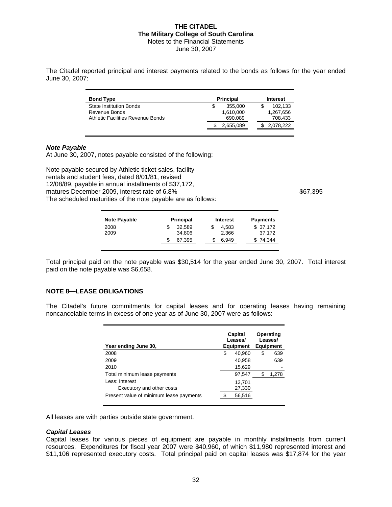The Citadel reported principal and interest payments related to the bonds as follows for the year ended June 30, 2007:

| <b>Bond Type</b>                  | <b>Principal</b> | Interest  |
|-----------------------------------|------------------|-----------|
| <b>State Institution Bonds</b>    | 355,000<br>S     | 102.133   |
| Revenue Bonds                     | 1,610,000        | 1,267,656 |
| Athletic Facilities Revenue Bonds | 690.089          | 708.433   |
|                                   | 2,655,089        | 2.078.222 |

#### *Note Payable*

At June 30, 2007, notes payable consisted of the following:

Note payable secured by Athletic ticket sales, facility rentals and student fees, dated 8/01/81, revised 12/08/89, payable in annual installments of \$37,172, matures December 2009, interest rate of 6.8%  $$67,395$ The scheduled maturities of the note payable are as follows:

| <b>Note Payable</b> | <b>Principal</b> | <b>Interest</b> | <b>Payments</b> |
|---------------------|------------------|-----------------|-----------------|
| 2008                | 32.589           | 4.583           | \$37.172        |
| 2009                | 34,806           | 2,366           | 37,172          |
|                     | 67,395           | 6,949           | 74,344          |
|                     |                  |                 |                 |

Total principal paid on the note payable was \$30,514 for the year ended June 30, 2007. Total interest paid on the note payable was \$6,658.

#### **NOTE 8—LEASE OBLIGATIONS**

The Citadel's future commitments for capital leases and for operating leases having remaining noncancelable terms in excess of one year as of June 30, 2007 were as follows:

| Year ending June 30,                    | Capital<br>Leases/<br><b>Equipment</b> | Operating<br>Leases/<br><b>Equipment</b> |
|-----------------------------------------|----------------------------------------|------------------------------------------|
| 2008                                    | \$<br>40,960                           | \$<br>639                                |
| 2009                                    | 40.958                                 | 639                                      |
| 2010                                    | 15,629                                 |                                          |
| Total minimum lease payments            | 97,547                                 | 1,278                                    |
| Less: Interest                          | 13,701                                 |                                          |
| Executory and other costs               | 27,330                                 |                                          |
| Present value of minimum lease payments | 56,516                                 |                                          |

All leases are with parties outside state government.

#### *Capital Leases*

Capital leases for various pieces of equipment are payable in monthly installments from current resources. Expenditures for fiscal year 2007 were \$40,960, of which \$11,980 represented interest and \$11,106 represented executory costs. Total principal paid on capital leases was \$17,874 for the year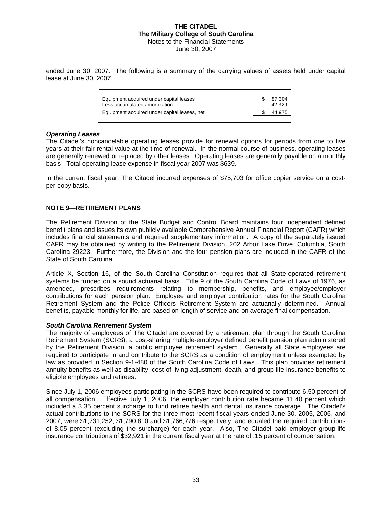ended June 30, 2007. The following is a summary of the carrying values of assets held under capital lease at June 30, 2007.

| Equipment acquired under capital leases<br>Less accumulated amortization | \$ 87.304<br>42.329 |
|--------------------------------------------------------------------------|---------------------|
| Equipment acquired under capital leases, net                             | 44,975              |

#### *Operating Leases*

The Citadel's noncancelable operating leases provide for renewal options for periods from one to five years at their fair rental value at the time of renewal. In the normal course of business, operating leases are generally renewed or replaced by other leases. Operating leases are generally payable on a monthly basis. Total operating lease expense in fiscal year 2007 was \$639.

In the current fiscal year, The Citadel incurred expenses of \$75,703 for office copier service on a costper-copy basis.

#### **NOTE 9—RETIREMENT PLANS**

The Retirement Division of the State Budget and Control Board maintains four independent defined benefit plans and issues its own publicly available Comprehensive Annual Financial Report (CAFR) which includes financial statements and required supplementary information. A copy of the separately issued CAFR may be obtained by writing to the Retirement Division, 202 Arbor Lake Drive, Columbia, South Carolina 29223. Furthermore, the Division and the four pension plans are included in the CAFR of the State of South Carolina.

Article X, Section 16, of the South Carolina Constitution requires that all State-operated retirement systems be funded on a sound actuarial basis. Title 9 of the South Carolina Code of Laws of 1976, as amended, prescribes requirements relating to membership, benefits, and employee/employer contributions for each pension plan. Employee and employer contribution rates for the South Carolina Retirement System and the Police Officers Retirement System are actuarially determined. Annual benefits, payable monthly for life, are based on length of service and on average final compensation.

#### *South Carolina Retirement System*

The majority of employees of The Citadel are covered by a retirement plan through the South Carolina Retirement System (SCRS), a cost-sharing multiple-employer defined benefit pension plan administered by the Retirement Division, a public employee retirement system. Generally all State employees are required to participate in and contribute to the SCRS as a condition of employment unless exempted by law as provided in Section 9-1-480 of the South Carolina Code of Laws. This plan provides retirement annuity benefits as well as disability, cost-of-living adjustment, death, and group-life insurance benefits to eligible employees and retirees.

Since July 1, 2006 employees participating in the SCRS have been required to contribute 6.50 percent of all compensation. Effective July 1, 2006, the employer contribution rate became 11.40 percent which included a 3.35 percent surcharge to fund retiree health and dental insurance coverage. The Citadel's actual contributions to the SCRS for the three most recent fiscal years ended June 30, 2005, 2006, and 2007, were \$1,731,252, \$1,790,810 and \$1,766,776 respectively, and equaled the required contributions of 8.05 percent (excluding the surcharge) for each year. Also, The Citadel paid employer group-life insurance contributions of \$32,921 in the current fiscal year at the rate of .15 percent of compensation.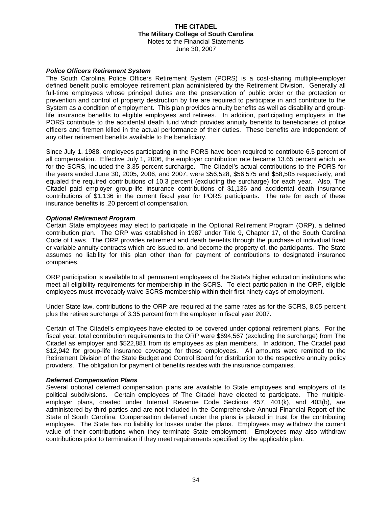#### *Police Officers Retirement System*

The South Carolina Police Officers Retirement System (PORS) is a cost-sharing multiple-employer defined benefit public employee retirement plan administered by the Retirement Division. Generally all full-time employees whose principal duties are the preservation of public order or the protection or prevention and control of property destruction by fire are required to participate in and contribute to the System as a condition of employment. This plan provides annuity benefits as well as disability and grouplife insurance benefits to eligible employees and retirees. In addition, participating employers in the PORS contribute to the accidental death fund which provides annuity benefits to beneficiaries of police officers and firemen killed in the actual performance of their duties. These benefits are independent of any other retirement benefits available to the beneficiary.

Since July 1, 1988, employees participating in the PORS have been required to contribute 6.5 percent of all compensation. Effective July 1, 2006, the employer contribution rate became 13.65 percent which, as for the SCRS, included the 3.35 percent surcharge. The Citadel's actual contributions to the PORS for the years ended June 30, 2005, 2006, and 2007, were \$56,528, \$56,575 and \$58,505 respectively, and equaled the required contributions of 10.3 percent (excluding the surcharge) for each year. Also, The Citadel paid employer group-life insurance contributions of \$1,136 and accidental death insurance contributions of \$1,136 in the current fiscal year for PORS participants. The rate for each of these insurance benefits is .20 percent of compensation.

#### *Optional Retirement Program*

Certain State employees may elect to participate in the Optional Retirement Program (ORP), a defined contribution plan. The ORP was established in 1987 under Title 9, Chapter 17, of the South Carolina Code of Laws. The ORP provides retirement and death benefits through the purchase of individual fixed or variable annuity contracts which are issued to, and become the property of, the participants. The State assumes no liability for this plan other than for payment of contributions to designated insurance companies.

ORP participation is available to all permanent employees of the State's higher education institutions who meet all eligibility requirements for membership in the SCRS. To elect participation in the ORP, eligible employees must irrevocably waive SCRS membership within their first ninety days of employment.

Under State law, contributions to the ORP are required at the same rates as for the SCRS, 8.05 percent plus the retiree surcharge of 3.35 percent from the employer in fiscal year 2007.

Certain of The Citadel's employees have elected to be covered under optional retirement plans. For the fiscal year, total contribution requirements to the ORP were \$694,567 (excluding the surcharge) from The Citadel as employer and \$522,881 from its employees as plan members. In addition, The Citadel paid \$12,942 for group-life insurance coverage for these employees. All amounts were remitted to the Retirement Division of the State Budget and Control Board for distribution to the respective annuity policy providers. The obligation for payment of benefits resides with the insurance companies.

#### *Deferred Compensation Plans*

Several optional deferred compensation plans are available to State employees and employers of its political subdivisions. Certain employees of The Citadel have elected to participate. The multipleemployer plans, created under Internal Revenue Code Sections 457, 401(k), and 403(b), are administered by third parties and are not included in the Comprehensive Annual Financial Report of the State of South Carolina. Compensation deferred under the plans is placed in trust for the contributing employee. The State has no liability for losses under the plans. Employees may withdraw the current value of their contributions when they terminate State employment. Employees may also withdraw contributions prior to termination if they meet requirements specified by the applicable plan.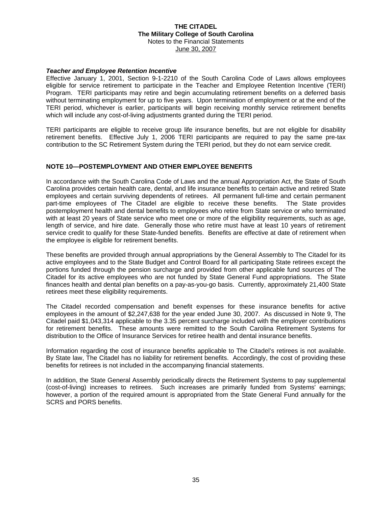#### *Teacher and Employee Retention Incentive*

Effective January 1, 2001, Section 9-1-2210 of the South Carolina Code of Laws allows employees eligible for service retirement to participate in the Teacher and Employee Retention Incentive (TERI) Program. TERI participants may retire and begin accumulating retirement benefits on a deferred basis without terminating employment for up to five years. Upon termination of employment or at the end of the TERI period, whichever is earlier, participants will begin receiving monthly service retirement benefits which will include any cost-of-living adjustments granted during the TERI period.

TERI participants are eligible to receive group life insurance benefits, but are not eligible for disability retirement benefits. Effective July 1, 2006 TERI participants are required to pay the same pre-tax contribution to the SC Retirement System during the TERI period, but they do not earn service credit.

#### **NOTE 10—POSTEMPLOYMENT AND OTHER EMPLOYEE BENEFITS**

In accordance with the South Carolina Code of Laws and the annual Appropriation Act, the State of South Carolina provides certain health care, dental, and life insurance benefits to certain active and retired State employees and certain surviving dependents of retirees. All permanent full-time and certain permanent part-time employees of The Citadel are eligible to receive these benefits. The State provides postemployment health and dental benefits to employees who retire from State service or who terminated with at least 20 years of State service who meet one or more of the eligibility requirements, such as age, length of service, and hire date. Generally those who retire must have at least 10 years of retirement service credit to qualify for these State-funded benefits. Benefits are effective at date of retirement when the employee is eligible for retirement benefits.

These benefits are provided through annual appropriations by the General Assembly to The Citadel for its active employees and to the State Budget and Control Board for all participating State retirees except the portions funded through the pension surcharge and provided from other applicable fund sources of The Citadel for its active employees who are not funded by State General Fund appropriations. The State finances health and dental plan benefits on a pay-as-you-go basis. Currently, approximately 21,400 State retirees meet these eligibility requirements.

The Citadel recorded compensation and benefit expenses for these insurance benefits for active employees in the amount of \$2,247,638 for the year ended June 30, 2007. As discussed in Note 9, The Citadel paid \$1,043,314 applicable to the 3.35 percent surcharge included with the employer contributions for retirement benefits. These amounts were remitted to the South Carolina Retirement Systems for distribution to the Office of Insurance Services for retiree health and dental insurance benefits.

Information regarding the cost of insurance benefits applicable to The Citadel's retirees is not available. By State law, The Citadel has no liability for retirement benefits. Accordingly, the cost of providing these benefits for retirees is not included in the accompanying financial statements.

In addition, the State General Assembly periodically directs the Retirement Systems to pay supplemental (cost-of-living) increases to retirees. Such increases are primarily funded from Systems' earnings; however, a portion of the required amount is appropriated from the State General Fund annually for the SCRS and PORS benefits.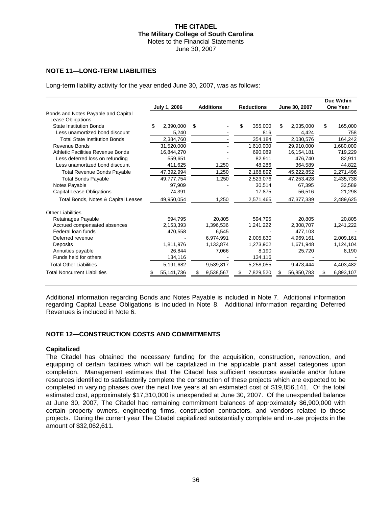#### **NOTE 11—LONG-TERM LIABILITIES**

Long-term liability activity for the year ended June 30, 2007, was as follows:

|                                      |     | July 1, 2006 | <b>Additions</b> |    | <b>Reductions</b> | June 30, 2007    | Due Within<br><b>One Year</b> |
|--------------------------------------|-----|--------------|------------------|----|-------------------|------------------|-------------------------------|
| Bonds and Notes Payable and Capital  |     |              |                  |    |                   |                  |                               |
| Lease Obligations:                   |     |              |                  |    |                   |                  |                               |
| <b>State Institution Bonds</b>       | \$. | 2,390,000    | \$               | \$ | 355,000           | \$<br>2,035,000  | \$<br>165,000                 |
| Less unamortized bond discount       |     | 5,240        |                  |    | 816               | 4,424            | 758                           |
| <b>Total State Institution Bonds</b> |     | 2.384.760    |                  |    | 354.184           | 2,030,576        | 164.242                       |
| Revenue Bonds                        |     | 31,520,000   |                  |    | 1,610,000         | 29,910,000       | 1,680,000                     |
| Athletic Facilities Revenue Bonds    |     | 16,844,270   |                  |    | 690,089           | 16,154,181       | 719,229                       |
| Less deferred loss on refunding      |     | 559.651      |                  |    | 82.911            | 476.740          | 82,911                        |
| Less unamortized bond discount       |     | 411,625      | 1,250            |    | 48,286            | 364,589          | 44,822                        |
| <b>Total Revenue Bonds Payable</b>   |     | 47,392,994   | 1,250            |    | 2,168,892         | 45,222,852       | 2,271,496                     |
| <b>Total Bonds Payable</b>           |     | 49,777,754   | 1,250            |    | 2,523,076         | 47,253,428       | 2,435,738                     |
| Notes Payable                        |     | 97,909       |                  |    | 30,514            | 67,395           | 32,589                        |
| <b>Capital Lease Obligations</b>     |     | 74,391       |                  |    | 17,875            | 56,516           | 21,298                        |
| Total Bonds, Notes & Capital Leases  |     | 49,950,054   | 1,250            |    | 2,571,465         | 47,377,339       | 2,489,625                     |
| <b>Other Liabilities</b>             |     |              |                  |    |                   |                  |                               |
| Retainages Payable                   |     | 594.795      | 20,805           |    | 594.795           | 20.805           | 20.805                        |
| Accrued compensated absences         |     | 2,153,393    | 1,396,536        |    | 1,241,222         | 2,308,707        | 1,241,222                     |
| Federal loan funds                   |     | 470,558      | 6.545            |    |                   | 477.103          |                               |
| Deferred revenue                     |     |              | 6,974,991        |    | 2,005,830         | 4.969.161        | 2,009,161                     |
| Deposits                             |     | 1.811.976    | 1,133,874        |    | 1.273.902         | 1,671,948        | 1,124,104                     |
| Annuities payable                    |     | 26,844       | 7,066            |    | 8,190             | 25,720           | 8,190                         |
| Funds held for others                |     | 134,116      |                  |    | 134,116           |                  |                               |
| <b>Total Other Liabilities</b>       |     | 5,191,682    | 9,539,817        |    | 5,258,055         | 9,473,444        | 4,403,482                     |
| <b>Total Noncurrent Liabilities</b>  |     | 55,141,736   | \$<br>9,538,567  | S  | 7,829,520         | \$<br>56,850,783 | \$<br>6,893,107               |

Additional information regarding Bonds and Notes Payable is included in Note 7. Additional information regarding Capital Lease Obligations is included in Note 8. Additional information regarding Deferred Revenues is included in Note 6.

#### **NOTE 12—CONSTRUCTION COSTS AND COMMITMENTS**

#### **Capitalized**

The Citadel has obtained the necessary funding for the acquisition, construction, renovation, and equipping of certain facilities which will be capitalized in the applicable plant asset categories upon completion. Management estimates that The Citadel has sufficient resources available and/or future resources identified to satisfactorily complete the construction of these projects which are expected to be completed in varying phases over the next five years at an estimated cost of \$19,856,141. Of the total estimated cost, approximately \$17,310,000 is unexpended at June 30, 2007. Of the unexpended balance at June 30, 2007, The Citadel had remaining commitment balances of approximately \$6,900,000 with certain property owners, engineering firms, construction contractors, and vendors related to these projects. During the current year The Citadel capitalized substantially complete and in-use projects in the amount of \$32,062,611.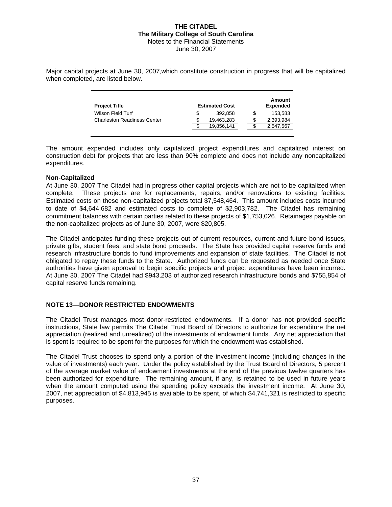Major capital projects at June 30, 2007,which constitute construction in progress that will be capitalized when completed, are listed below.

| <b>Project Title</b>               |     | <b>Estimated Cost</b> |   | Amount<br><b>Expended</b> |
|------------------------------------|-----|-----------------------|---|---------------------------|
| Wilson Field Turf                  |     | 392.858               | S | 153.583                   |
| <b>Charleston Readiness Center</b> |     | 19.463.283            |   | 2.393.984                 |
|                                    | \$. | 19,856,141            |   | 2,547,567                 |

The amount expended includes only capitalized project expenditures and capitalized interest on construction debt for projects that are less than 90% complete and does not include any noncapitalized expenditures.

#### **Non-Capitalized**

At June 30, 2007 The Citadel had in progress other capital projects which are not to be capitalized when complete. These projects are for replacements, repairs, and/or renovations to existing facilities. Estimated costs on these non-capitalized projects total \$7,548,464. This amount includes costs incurred to date of \$4,644,682 and estimated costs to complete of \$2,903,782. The Citadel has remaining commitment balances with certain parties related to these projects of \$1,753,026. Retainages payable on the non-capitalized projects as of June 30, 2007, were \$20,805.

The Citadel anticipates funding these projects out of current resources, current and future bond issues, private gifts, student fees, and state bond proceeds. The State has provided capital reserve funds and research infrastructure bonds to fund improvements and expansion of state facilities. The Citadel is not obligated to repay these funds to the State. Authorized funds can be requested as needed once State authorities have given approval to begin specific projects and project expenditures have been incurred. At June 30, 2007 The Citadel had \$943,203 of authorized research infrastructure bonds and \$755,854 of capital reserve funds remaining.

#### **NOTE 13—DONOR RESTRICTED ENDOWMENTS**

The Citadel Trust manages most donor-restricted endowments. If a donor has not provided specific instructions, State law permits The Citadel Trust Board of Directors to authorize for expenditure the net appreciation (realized and unrealized) of the investments of endowment funds. Any net appreciation that is spent is required to be spent for the purposes for which the endowment was established.

The Citadel Trust chooses to spend only a portion of the investment income (including changes in the value of investments) each year. Under the policy established by the Trust Board of Directors, 5 percent of the average market value of endowment investments at the end of the previous twelve quarters has been authorized for expenditure. The remaining amount, if any, is retained to be used in future years when the amount computed using the spending policy exceeds the investment income. At June 30, 2007, net appreciation of \$4,813,945 is available to be spent, of which \$4,741,321 is restricted to specific purposes.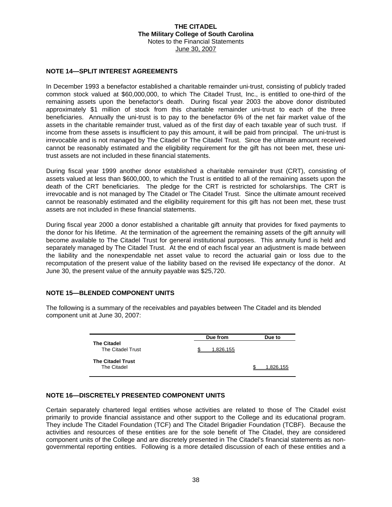#### **NOTE 14—SPLIT INTEREST AGREEMENTS**

In December 1993 a benefactor established a charitable remainder uni-trust, consisting of publicly traded common stock valued at \$60,000,000, to which The Citadel Trust, Inc., is entitled to one-third of the remaining assets upon the benefactor's death. During fiscal year 2003 the above donor distributed approximately \$1 million of stock from this charitable remainder uni-trust to each of the three beneficiaries. Annually the uni-trust is to pay to the benefactor 6% of the net fair market value of the assets in the charitable remainder trust, valued as of the first day of each taxable year of such trust. If income from these assets is insufficient to pay this amount, it will be paid from principal. The uni-trust is irrevocable and is not managed by The Citadel or The Citadel Trust. Since the ultimate amount received cannot be reasonably estimated and the eligibility requirement for the gift has not been met, these unitrust assets are not included in these financial statements.

During fiscal year 1999 another donor established a charitable remainder trust (CRT), consisting of assets valued at less than \$600,000, to which the Trust is entitled to all of the remaining assets upon the death of the CRT beneficiaries. The pledge for the CRT is restricted for scholarships. The CRT is irrevocable and is not managed by The Citadel or The Citadel Trust. Since the ultimate amount received cannot be reasonably estimated and the eligibility requirement for this gift has not been met, these trust assets are not included in these financial statements.

During fiscal year 2000 a donor established a charitable gift annuity that provides for fixed payments to the donor for his lifetime. At the termination of the agreement the remaining assets of the gift annuity will become available to The Citadel Trust for general institutional purposes. This annuity fund is held and separately managed by The Citadel Trust. At the end of each fiscal year an adjustment is made between the liability and the nonexpendable net asset value to record the actuarial gain or loss due to the recomputation of the present value of the liability based on the revised life expectancy of the donor. At June 30, the present value of the annuity payable was \$25,720.

#### **NOTE 15—BLENDED COMPONENT UNITS**

**The Citadel**  The Citadel Trust **Due from**  1,826,155 **The Citadel Trust**  The Citadel **Due to**   $$ 1.826.155$ 

The following is a summary of the receivables and payables between The Citadel and its blended component unit at June 30, 2007:

#### **NOTE 16—DISCRETELY PRESENTED COMPONENT UNITS**

Certain separately chartered legal entities whose activities are related to those of The Citadel exist primarily to provide financial assistance and other support to the College and its educational program. They include The Citadel Foundation (TCF) and The Citadel Brigadier Foundation (TCBF). Because the activities and resources of these entities are for the sole benefit of The Citadel, they are considered component units of the College and are discretely presented in The Citadel's financial statements as nongovernmental reporting entities. Following is a more detailed discussion of each of these entities and a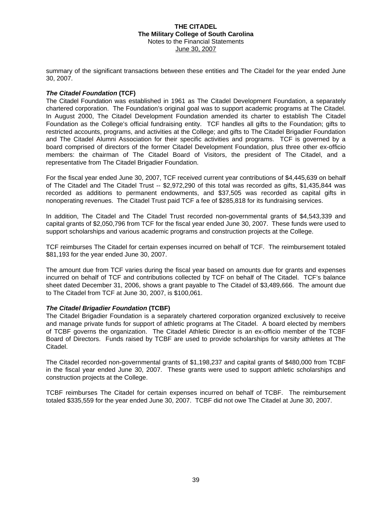summary of the significant transactions between these entities and The Citadel for the year ended June 30, 2007.

#### *The Citadel Foundation* **(TCF)**

The Citadel Foundation was established in 1961 as The Citadel Development Foundation, a separately chartered corporation. The Foundation's original goal was to support academic programs at The Citadel. In August 2000, The Citadel Development Foundation amended its charter to establish The Citadel Foundation as the College's official fundraising entity. TCF handles all gifts to the Foundation; gifts to restricted accounts, programs, and activities at the College; and gifts to The Citadel Brigadier Foundation and The Citadel Alumni Association for their specific activities and programs. TCF is governed by a board comprised of directors of the former Citadel Development Foundation, plus three other ex-officio members: the chairman of The Citadel Board of Visitors, the president of The Citadel, and a representative from The Citadel Brigadier Foundation.

For the fiscal year ended June 30, 2007, TCF received current year contributions of \$4,445,639 on behalf of The Citadel and The Citadel Trust -- \$2,972,290 of this total was recorded as gifts, \$1,435,844 was recorded as additions to permanent endowments, and \$37,505 was recorded as capital gifts in nonoperating revenues. The Citadel Trust paid TCF a fee of \$285,818 for its fundraising services.

In addition, The Citadel and The Citadel Trust recorded non-governmental grants of \$4,543,339 and capital grants of \$2,050,796 from TCF for the fiscal year ended June 30, 2007. These funds were used to support scholarships and various academic programs and construction projects at the College.

TCF reimburses The Citadel for certain expenses incurred on behalf of TCF. The reimbursement totaled \$81,193 for the year ended June 30, 2007.

The amount due from TCF varies during the fiscal year based on amounts due for grants and expenses incurred on behalf of TCF and contributions collected by TCF on behalf of The Citadel. TCF's balance sheet dated December 31, 2006, shows a grant payable to The Citadel of \$3,489,666. The amount due to The Citadel from TCF at June 30, 2007, is \$100,061.

#### *The Citadel Brigadier Foundation* **(TCBF)**

The Citadel Brigadier Foundation is a separately chartered corporation organized exclusively to receive and manage private funds for support of athletic programs at The Citadel. A board elected by members of TCBF governs the organization. The Citadel Athletic Director is an ex-officio member of the TCBF Board of Directors. Funds raised by TCBF are used to provide scholarships for varsity athletes at The Citadel.

The Citadel recorded non-governmental grants of \$1,198,237 and capital grants of \$480,000 from TCBF in the fiscal year ended June 30, 2007. These grants were used to support athletic scholarships and construction projects at the College.

TCBF reimburses The Citadel for certain expenses incurred on behalf of TCBF. The reimbursement totaled \$335,559 for the year ended June 30, 2007. TCBF did not owe The Citadel at June 30, 2007.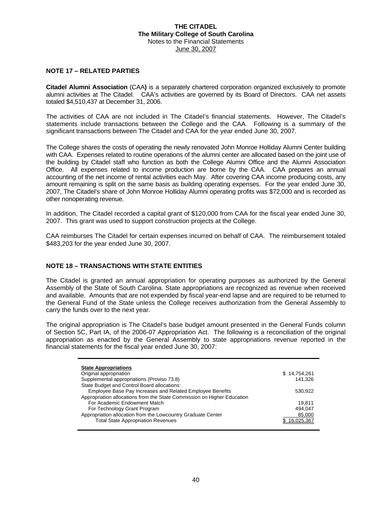#### **NOTE 17 – RELATED PARTIES**

**Citadel Alumni Association** (CAA**)** is a separately chartered corporation organized exclusively to promote alumni activities at The Citadel. CAA's activities are governed by its Board of Directors. CAA net assets totaled \$4,510,437 at December 31, 2006.

The activities of CAA are not included in The Citadel's financial statements. However, The Citadel's statements include transactions between the College and the CAA. Following is a summary of the significant transactions between The Citadel and CAA for the year ended June 30, 2007.

The College shares the costs of operating the newly renovated John Monroe Holliday Alumni Center building with CAA. Expenses related to routine operations of the alumni center are allocated based on the joint use of the building by Citadel staff who function as both the College Alumni Office and the Alumni Association Office. All expenses related to income production are borne by the CAA. CAA prepares an annual accounting of the net income of rental activities each May. After covering CAA income producing costs, any amount remaining is split on the same basis as building operating expenses. For the year ended June 30, 2007, The Citadel's share of John Monroe Holliday Alumni operating profits was \$72,000 and is recorded as other nonoperating revenue.

In addition, The Citadel recorded a capital grant of \$120,000 from CAA for the fiscal year ended June 30, 2007. This grant was used to support construction projects at the College.

CAA reimburses The Citadel for certain expenses incurred on behalf of CAA. The reimbursement totaled \$483,203 for the year ended June 30, 2007.

#### **NOTE 18 – TRANSACTIONS WITH STATE ENTITIES**

The Citadel is granted an annual appropriation for operating purposes as authorized by the General Assembly of the State of South Carolina. State appropriations are recognized as revenue when received and available. Amounts that are not expended by fiscal year-end lapse and are required to be returned to the General Fund of the State unless the College receives authorization from the General Assembly to carry the funds over to the next year.

The original appropriation is The Citadel's base budget amount presented in the General Funds column of Section 5C, Part IA, of the 2006-07 Appropriation Act. The following is a reconciliation of the original appropriation as enacted by the General Assembly to state appropriations revenue reported in the financial statements for the fiscal year ended June 30, 2007:

| \$14,754,261 |
|--------------|
| 141.326      |
|              |
| 530.922      |
|              |
| 19.811       |
| 494.047      |
| 85,000       |
| 6.025.367    |
|              |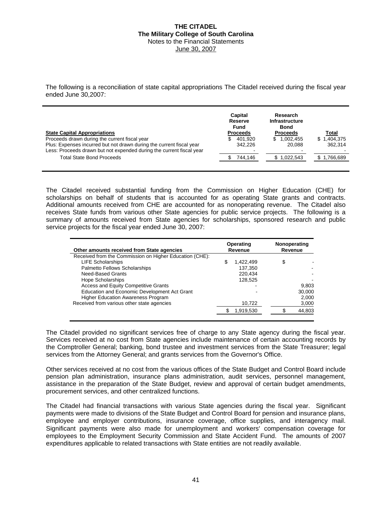The following is a reconciliation of state capital appropriations The Citadel received during the fiscal year ended June 30,2007:

| <b>State Capital Appropriations</b>                                                                                                                                                           | Capital<br>Reserve<br>Fund<br><b>Proceeds</b> | Research<br>Infrastructure<br>Bond<br><b>Proceeds</b> | Total                       |
|-----------------------------------------------------------------------------------------------------------------------------------------------------------------------------------------------|-----------------------------------------------|-------------------------------------------------------|-----------------------------|
| Proceeds drawn during the current fiscal year<br>Plus: Expenses incurred but not drawn during the current fiscal year<br>Less: Proceeds drawn but not expended during the current fiscal year | 401.920<br>SS<br>342.226                      | 1.002.455<br>S.<br>20.088                             | 1.404.375<br>SS.<br>362.314 |
| <b>Total State Bond Proceeds</b>                                                                                                                                                              | 744,146                                       | 1,022,543                                             | 766.689. ا                  |

The Citadel received substantial funding from the Commission on Higher Education (CHE) for scholarships on behalf of students that is accounted for as operating State grants and contracts. Additional amounts received from CHE are accounted for as nonoperating revenue. The Citadel also receives State funds from various other State agencies for public service projects. The following is a summary of amounts received from State agencies for scholarships, sponsored research and public service projects for the fiscal year ended June 30, 2007:

|                 | Nonoperating<br>Revenue |        |  |
|-----------------|-------------------------|--------|--|
|                 |                         |        |  |
| \$<br>1,422,499 | \$                      |        |  |
| 137,350         |                         |        |  |
| 220.434         |                         |        |  |
| 128,525         |                         |        |  |
|                 |                         | 9,803  |  |
|                 |                         | 30,000 |  |
|                 |                         | 2,000  |  |
| 10,722          |                         | 3,000  |  |
| 1,919,530       |                         | 44,803 |  |
|                 | Operating<br>Revenue    |        |  |

The Citadel provided no significant services free of charge to any State agency during the fiscal year. Services received at no cost from State agencies include maintenance of certain accounting records by the Comptroller General; banking, bond trustee and investment services from the State Treasurer; legal services from the Attorney General; and grants services from the Governor's Office.

Other services received at no cost from the various offices of the State Budget and Control Board include pension plan administration, insurance plans administration, audit services, personnel management, assistance in the preparation of the State Budget, review and approval of certain budget amendments, procurement services, and other centralized functions.

The Citadel had financial transactions with various State agencies during the fiscal year. Significant payments were made to divisions of the State Budget and Control Board for pension and insurance plans, employee and employer contributions, insurance coverage, office supplies, and interagency mail. Significant payments were also made for unemployment and workers′ compensation coverage for employees to the Employment Security Commission and State Accident Fund. The amounts of 2007 expenditures applicable to related transactions with State entities are not readily available.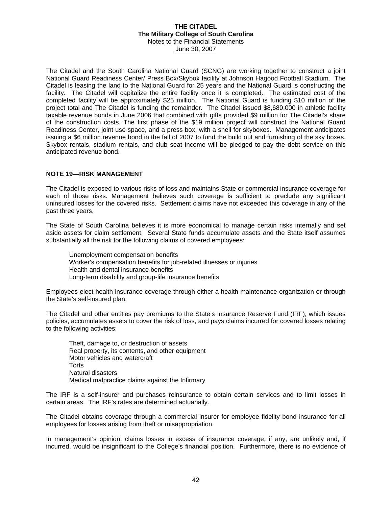The Citadel and the South Carolina National Guard (SCNG) are working together to construct a joint National Guard Readiness Center/ Press Box/Skybox facility at Johnson Hagood Football Stadium. The Citadel is leasing the land to the National Guard for 25 years and the National Guard is constructing the facility. The Citadel will capitalize the entire facility once it is completed. The estimated cost of the completed facility will be approximately \$25 million. The National Guard is funding \$10 million of the project total and The Citadel is funding the remainder. The Citadel issued \$8,680,000 in athletic facility taxable revenue bonds in June 2006 that combined with gifts provided \$9 million for The Citadel's share of the construction costs. The first phase of the \$19 million project will construct the National Guard Readiness Center, joint use space, and a press box, with a shell for skyboxes. Management anticipates issuing a \$6 million revenue bond in the fall of 2007 to fund the build out and furnishing of the sky boxes. Skybox rentals, stadium rentals, and club seat income will be pledged to pay the debt service on this anticipated revenue bond.

#### **NOTE 19—RISK MANAGEMENT**

The Citadel is exposed to various risks of loss and maintains State or commercial insurance coverage for each of those risks. Management believes such coverage is sufficient to preclude any significant uninsured losses for the covered risks. Settlement claims have not exceeded this coverage in any of the past three years.

The State of South Carolina believes it is more economical to manage certain risks internally and set aside assets for claim settlement. Several State funds accumulate assets and the State itself assumes substantially all the risk for the following claims of covered employees:

Unemployment compensation benefits Worker's compensation benefits for job-related illnesses or injuries Health and dental insurance benefits Long-term disability and group-life insurance benefits

Employees elect health insurance coverage through either a health maintenance organization or through the State's self-insured plan.

The Citadel and other entities pay premiums to the State's Insurance Reserve Fund (IRF), which issues policies, accumulates assets to cover the risk of loss, and pays claims incurred for covered losses relating to the following activities:

Theft, damage to, or destruction of assets Real property, its contents, and other equipment Motor vehicles and watercraft **Torts** Natural disasters Medical malpractice claims against the Infirmary

The IRF is a self-insurer and purchases reinsurance to obtain certain services and to limit losses in certain areas. The IRF's rates are determined actuarially.

The Citadel obtains coverage through a commercial insurer for employee fidelity bond insurance for all employees for losses arising from theft or misappropriation.

In management's opinion, claims losses in excess of insurance coverage, if any, are unlikely and, if incurred, would be insignificant to the College's financial position. Furthermore, there is no evidence of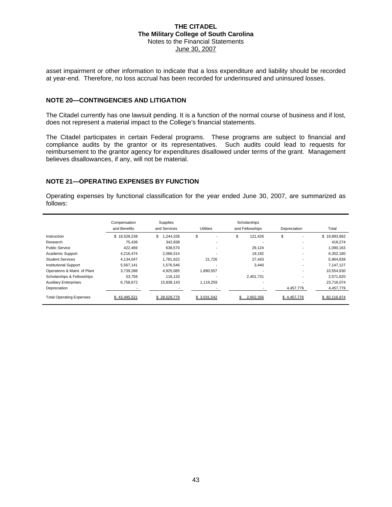asset impairment or other information to indicate that a loss expenditure and liability should be recorded at year-end. Therefore, no loss accrual has been recorded for underinsured and uninsured losses.

#### **NOTE 20—CONTINGENCIES AND LITIGATION**

The Citadel currently has one lawsuit pending. It is a function of the normal course of business and if lost, does not represent a material impact to the College's financial statements.

The Citadel participates in certain Federal programs. These programs are subject to financial and compliance audits by the grantor or its representatives. Such audits could lead to requests for reimbursement to the grantor agency for expenditures disallowed under terms of the grant. Management believes disallowances, if any, will not be material.

#### **NOTE 21—OPERATING EXPENSES BY FUNCTION**

Operating expenses by functional classification for the year ended June 30, 2007, are summarized as follows:

|                                 | Compensation<br>and Benefits | Supplies<br>and Services | <b>Utilities</b>         | Scholarships<br>and Fellowships | Depreciation | Total        |
|---------------------------------|------------------------------|--------------------------|--------------------------|---------------------------------|--------------|--------------|
| Instruction                     | \$18,528,238                 | \$<br>1,244,328          | \$                       | \$<br>121,426                   | \$           | \$19,893,992 |
| Research                        | 75.436                       | 342,838                  | $\overline{\phantom{a}}$ |                                 |              | 418,274      |
| <b>Public Service</b>           | 422.469                      | 638,570                  | ٠                        | 29.124                          | ۰            | 1.090.163    |
| Academic Support                | 4.216.474                    | 2.066.514                |                          | 19.192                          |              | 6,302,180    |
| <b>Student Services</b>         | 4,134,047                    | 1,781,622                | 21,726                   | 27,443                          |              | 5,964,838    |
| <b>Institutional Support</b>    | 5,567,141                    | 1,576,546                | $\overline{a}$           | 3,440                           | ٠            | 7,147,127    |
| Operations & Maint. of Plant    | 3.739.288                    | 4,925,085                | 1,890,557                |                                 | ٠            | 10,554,930   |
| Scholarships & Fellowships      | 53.756                       | 116.133                  | -                        | 2.401.731                       |              | 2.571.620    |
| <b>Auxiliary Enterprises</b>    | 6,758,672                    | 15,838,143               | 1,119,259                |                                 |              | 23,716,074   |
| Depreciation                    |                              |                          |                          |                                 | 4,457,776    | 4,457,776    |
| <b>Total Operating Expenses</b> | \$43.495.521                 | \$28.529.779             | \$ 3.031.542             | 2.602.356                       | \$4.457.776  | \$82.116.974 |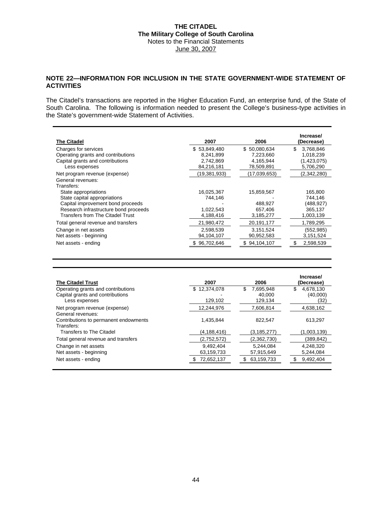#### **NOTE 22—INFORMATION FOR INCLUSION IN THE STATE GOVERNMENT-WIDE STATEMENT OF ACTIVITIES**

The Citadel's transactions are reported in the Higher Education Fund, an enterprise fund, of the State of South Carolina. The following is information needed to present the College's business-type activities in the State's government-wide Statement of Activities.

| <b>The Citadel</b>                    | 2007           | 2006         | Increase/<br>(Decrease) |
|---------------------------------------|----------------|--------------|-------------------------|
| Charges for services                  | \$53,849,480   | \$50,080,634 | \$.<br>3,768,846        |
| Operating grants and contributions    | 8,241,899      | 7,223,660    | 1,018,239               |
| Capital grants and contributions      | 2,742,869      | 4,165,944    | (1,423,075)             |
| Less expenses                         | 84,216,181     | 78,509,891   | 5,706,290               |
| Net program revenue (expense)         | (19, 381, 933) | (17,039,653) | (2,342,280)             |
| General revenues:<br>Transfers:       |                |              |                         |
| State appropriations                  | 16,025,367     | 15,859,567   | 165,800                 |
| State capital appropriations          | 744.146        |              | 744,146                 |
| Capital improvement bond proceeds     |                | 488.927      | (488,927)               |
| Research infrastructure bond proceeds | 1,022,543      | 657,406      | 365,137                 |
| Transfers from The Citadel Trust      | 4,188,416      | 3,185,277    | 1,003,139               |
| Total general revenue and transfers   | 21,980,472     | 20,191,177   | 1,789,295               |
| Change in net assets                  | 2,598,539      | 3,151,524    | (552, 985)              |
| Net assets - beginning                | 94,104,107     | 90,952,583   | 3,151,524               |
| Net assets - ending                   | \$96.702.646   | \$94,104,107 | 2.598.539               |

| <b>The Citadel Trust</b>              | 2007         | 2006            | Increase/<br>(Decrease) |
|---------------------------------------|--------------|-----------------|-------------------------|
| Operating grants and contributions    | \$12,374,078 | \$<br>7,695,948 | \$<br>4,678,130         |
| Capital grants and contributions      |              | 40.000          | (40,000)                |
| Less expenses                         | 129,102      | 129,134         | (32)                    |
| Net program revenue (expense)         | 12,244,976   | 7,606,814       | 4,638,162               |
| General revenues:                     |              |                 |                         |
| Contributions to permanent endowments | 1.435.844    | 822.547         | 613.297                 |
| Transfers:                            |              |                 |                         |
| <b>Transfers to The Citadel</b>       | (4,188,416)  | (3, 185, 277)   | (1,003,139)             |
| Total general revenue and transfers   | (2,752,572)  | (2,362,730)     | (389, 842)              |
| Change in net assets                  | 9,492,404    | 5,244,084       | 4,248,320               |
| Net assets - beginning                | 63,159,733   | 57,915,649      | 5,244,084               |
| Net assets - ending                   | 72,652,137   | 63,159,733<br>S | 9,492,404               |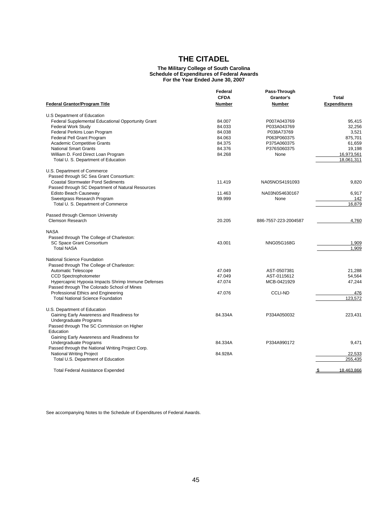#### **The Military College of South Carolina Schedule of Expenditures of Federal Awards For the Year Ended June 30, 2007**

|                                                           | Federal<br>Pass-Through<br><b>CFDA</b><br>Grantor's<br><b>Number</b><br><b>Number</b> |                      |                                     |
|-----------------------------------------------------------|---------------------------------------------------------------------------------------|----------------------|-------------------------------------|
| <b>Federal Grantor/Program Title</b>                      |                                                                                       |                      | <b>Total</b><br><b>Expenditures</b> |
|                                                           |                                                                                       |                      |                                     |
| <b>Federal Supplemental Educational Opportunity Grant</b> | 84.007                                                                                | P007A043769          | 95,415                              |
| <b>Federal Work Study</b>                                 | 84.033                                                                                | P033A043769          | 32.256                              |
| Federal Perkins Loan Program                              | 84.038                                                                                | P038A73769           | 3,521                               |
| Federal Pell Grant Program                                | 84.063                                                                                | P063P060375          | 875,701                             |
| <b>Academic Competitive Grants</b>                        | 84.375                                                                                | P375A060375          | 61,659                              |
| <b>National Smart Grants</b>                              | 84.376                                                                                | P376S060375          | 19,198                              |
| William D. Ford Direct Loan Program                       | 84.268                                                                                | None                 | 16,973,561                          |
| Total U. S. Department of Education                       |                                                                                       |                      | 18.061.311                          |
| U.S. Department of Commerce                               |                                                                                       |                      |                                     |
| Passed through SC Sea Grant Consortium:                   |                                                                                       |                      |                                     |
| <b>Coastal Stormwater Pond Sediments</b>                  | 11.419                                                                                | NA05NOS4191093       | 9,820                               |
| Passed through SC Department of Natural Resources         |                                                                                       |                      |                                     |
| Edisto Beach Causeway                                     | 11.463                                                                                | NA03N0S4630167       | 6,917                               |
| Sweetgrass Research Program                               | 99.999                                                                                | None                 | 142                                 |
| Total U. S. Department of Commerce                        |                                                                                       |                      | 16,879                              |
| Passed through Clemson University                         |                                                                                       |                      |                                     |
| <b>Clemson Research</b>                                   | 20.205                                                                                | 886-7557-223-2004587 | 4,760                               |
| <b>NASA</b>                                               |                                                                                       |                      |                                     |
| Passed through The College of Charleston:                 |                                                                                       |                      |                                     |
| SC Space Grant Consortium                                 | 43.001                                                                                | <b>NNG05G168G</b>    | 1.909                               |
| <b>Total NASA</b>                                         |                                                                                       |                      | 1.909                               |
| National Science Foundation                               |                                                                                       |                      |                                     |
| Passed through The College of Charleston:                 |                                                                                       |                      |                                     |
| Automatic Telescope                                       | 47.049                                                                                | AST-0507381          | 21.288                              |
| <b>CCD Spectrophotometer</b>                              | 47.049                                                                                | AST-0115612          | 54,564                              |
| Hypercapnic Hypoxia Impacts Shrimp Immune Defenses        | 47.074                                                                                | MCB-0421929          | 47,244                              |
| Passed through The Colorado School of Mines               |                                                                                       |                      |                                     |
| Professional Ethics and Engineering                       | 47.076                                                                                | <b>CCLI-ND</b>       | 476                                 |
| <b>Total National Science Foundation</b>                  |                                                                                       |                      | 123,572                             |
| U.S. Department of Education                              |                                                                                       |                      |                                     |
| Gaining Early Awareness and Readiness for                 | 84.334A                                                                               | P334A050032          | 223,431                             |
| Undergraduate Programs                                    |                                                                                       |                      |                                     |
| Passed through The SC Commission on Higher                |                                                                                       |                      |                                     |
| Education                                                 |                                                                                       |                      |                                     |
| Gaining Early Awareness and Readiness for                 |                                                                                       |                      |                                     |
| Undergraduate Programs                                    | 84.334A                                                                               | P334A990172          | 9,471                               |
| Passed through the National Writing Project Corp.         |                                                                                       |                      |                                     |
| <b>National Writing Project</b>                           | 84.928A                                                                               |                      | 22,533                              |
| Total U.S. Department of Education                        |                                                                                       |                      | 255,435                             |
| <b>Total Federal Assistance Expended</b>                  |                                                                                       |                      | 18,463,866<br>S.                    |

See accompanying Notes to the Schedule of Expenditures of Federal Awards.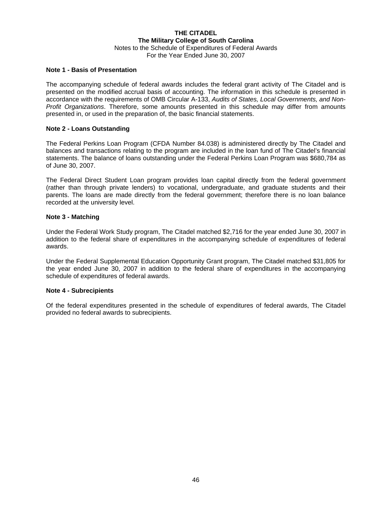#### **THE CITADEL The Military College of South Carolina** Notes to the Schedule of Expenditures of Federal Awards For the Year Ended June 30, 2007

#### **Note 1 - Basis of Presentation**

The accompanying schedule of federal awards includes the federal grant activity of The Citadel and is presented on the modified accrual basis of accounting. The information in this schedule is presented in accordance with the requirements of OMB Circular A-133, *Audits of States, Local Governments, and Non-Profit Organizations*. Therefore, some amounts presented in this schedule may differ from amounts presented in, or used in the preparation of, the basic financial statements.

#### **Note 2 - Loans Outstanding**

The Federal Perkins Loan Program (CFDA Number 84.038) is administered directly by The Citadel and balances and transactions relating to the program are included in the loan fund of The Citadel's financial statements. The balance of loans outstanding under the Federal Perkins Loan Program was \$680,784 as of June 30, 2007.

The Federal Direct Student Loan program provides loan capital directly from the federal government (rather than through private lenders) to vocational, undergraduate, and graduate students and their parents. The loans are made directly from the federal government; therefore there is no loan balance recorded at the university level.

#### **Note 3 - Matching**

Under the Federal Work Study program, The Citadel matched \$2,716 for the year ended June 30, 2007 in addition to the federal share of expenditures in the accompanying schedule of expenditures of federal awards.

Under the Federal Supplemental Education Opportunity Grant program, The Citadel matched \$31,805 for the year ended June 30, 2007 in addition to the federal share of expenditures in the accompanying schedule of expenditures of federal awards.

#### **Note 4 - Subrecipients**

Of the federal expenditures presented in the schedule of expenditures of federal awards, The Citadel provided no federal awards to subrecipients.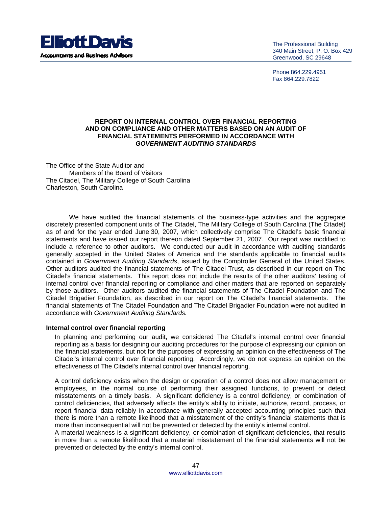

The Professional Building 340 Main Street, P. O. Box 429 Greenwood, SC 29648

Phone 864.229.4951 Fax 864.229.7822

#### **REPORT ON INTERNAL CONTROL OVER FINANCIAL REPORTING AND ON COMPLIANCE AND OTHER MATTERS BASED ON AN AUDIT OF FINANCIAL STATEMENTS PERFORMED IN ACCORDANCE WITH**  *GOVERNMENT AUDITING STANDARDS*

The Office of the State Auditor and Members of the Board of Visitors The Citadel, The Military College of South Carolina Charleston, South Carolina

 We have audited the financial statements of the business-type activities and the aggregate discretely presented component units of The Citadel, The Military College of South Carolina (The Citadel) as of and for the year ended June 30, 2007, which collectively comprise The Citadel's basic financial statements and have issued our report thereon dated September 21, 2007. Our report was modified to include a reference to other auditors. We conducted our audit in accordance with auditing standards generally accepted in the United States of America and the standards applicable to financial audits contained in *Government Auditing Standards*, issued by the Comptroller General of the United States. Other auditors audited the financial statements of The Citadel Trust, as described in our report on The Citadel's financial statements. This report does not include the results of the other auditors' testing of internal control over financial reporting or compliance and other matters that are reported on separately by those auditors. Other auditors audited the financial statements of The Citadel Foundation and The Citadel Brigadier Foundation, as described in our report on The Citadel's financial statements. The financial statements of The Citadel Foundation and The Citadel Brigadier Foundation were not audited in accordance with *Government Auditing Standards.* 

#### **Internal control over financial reporting**

In planning and performing our audit, we considered The Citadel's internal control over financial reporting as a basis for designing our auditing procedures for the purpose of expressing our opinion on the financial statements, but not for the purposes of expressing an opinion on the effectiveness of The Citadel's internal control over financial reporting. Accordingly, we do not express an opinion on the effectiveness of The Citadel's internal control over financial reporting.

A control deficiency exists when the design or operation of a control does not allow management or employees, in the normal course of performing their assigned functions, to prevent or detect misstatements on a timely basis. A significant deficiency is a control deficiency, or combination of control deficiencies, that adversely affects the entity's ability to initiate, authorize, record, process, or report financial data reliably in accordance with generally accepted accounting principles such that there is more than a remote likelihood that a misstatement of the entity's financial statements that is more than inconsequential will not be prevented or detected by the entity's internal control.

A material weakness is a significant deficiency, or combination of significant deficiencies, that results in more than a remote likelihood that a material misstatement of the financial statements will not be prevented or detected by the entity's internal control.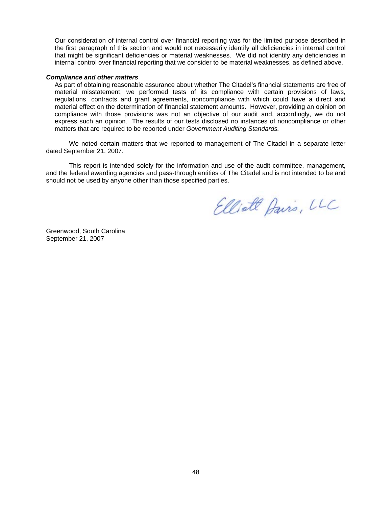Our consideration of internal control over financial reporting was for the limited purpose described in the first paragraph of this section and would not necessarily identify all deficiencies in internal control that might be significant deficiencies or material weaknesses. We did not identify any deficiencies in internal control over financial reporting that we consider to be material weaknesses, as defined above.

#### *Compliance and other matters*

As part of obtaining reasonable assurance about whether The Citadel's financial statements are free of material misstatement, we performed tests of its compliance with certain provisions of laws, regulations, contracts and grant agreements, noncompliance with which could have a direct and material effect on the determination of financial statement amounts. However, providing an opinion on compliance with those provisions was not an objective of our audit and, accordingly, we do not express such an opinion. The results of our tests disclosed no instances of noncompliance or other matters that are required to be reported under *Government Auditing Standards.* 

 We noted certain matters that we reported to management of The Citadel in a separate letter dated September 21, 2007.

This report is intended solely for the information and use of the audit committee, management, and the federal awarding agencies and pass-through entities of The Citadel and is not intended to be and should not be used by anyone other than those specified parties.

Elliate Davis, LLC

Greenwood, South Carolina September 21, 2007